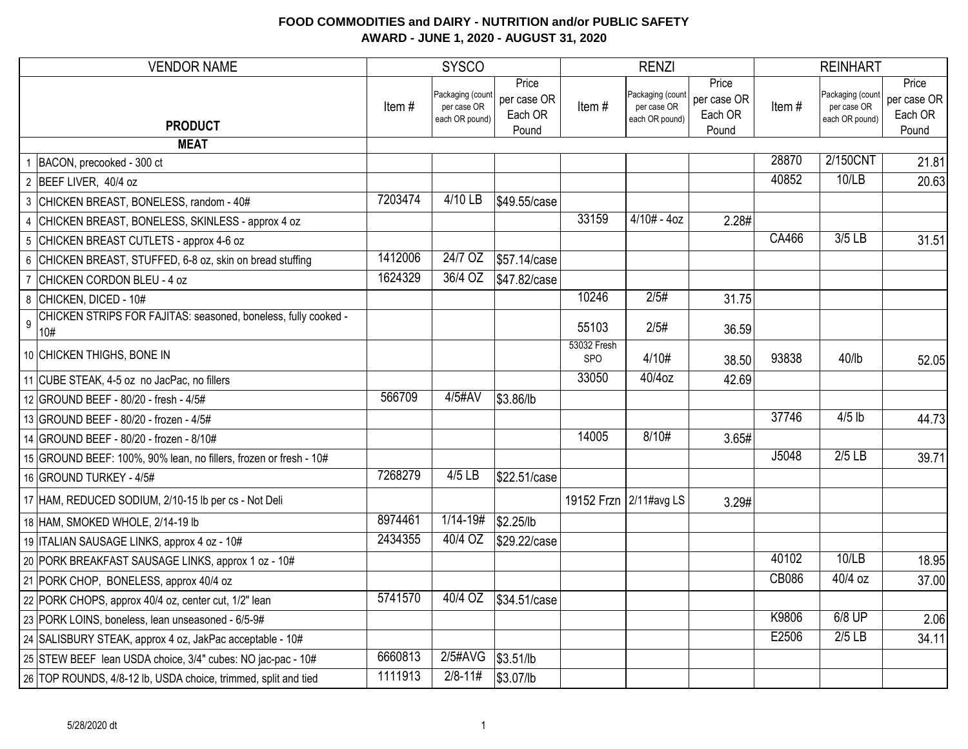| <b>VENDOR NAME</b>                                                                      | <b>SYSCO</b> |                                                   |                                          |                    | <b>RENZI</b>                                      |                                          | <b>REINHART</b> |                                                   |                                          |
|-----------------------------------------------------------------------------------------|--------------|---------------------------------------------------|------------------------------------------|--------------------|---------------------------------------------------|------------------------------------------|-----------------|---------------------------------------------------|------------------------------------------|
| <b>PRODUCT</b>                                                                          | Item#        | Packaging (count<br>per case OR<br>each OR pound) | Price<br>per case OR<br>Each OR<br>Pound | Item#              | Packaging (count<br>per case OR<br>each OR pound) | Price<br>per case OR<br>Each OR<br>Pound | Item#           | Packaging (count<br>per case OR<br>each OR pound) | Price<br>per case OR<br>Each OR<br>Pound |
| <b>MEAT</b>                                                                             |              |                                                   |                                          |                    |                                                   |                                          |                 |                                                   |                                          |
| 1 BACON, precooked - 300 ct                                                             |              |                                                   |                                          |                    |                                                   |                                          | 28870           | 2/150CNT                                          | 21.81                                    |
| 2 BEEF LIVER, 40/4 oz                                                                   |              |                                                   |                                          |                    |                                                   |                                          | 40852           | 10/LB                                             | 20.63                                    |
| 3 CHICKEN BREAST, BONELESS, random - 40#                                                | 7203474      | 4/10 LB                                           | \$49.55/case                             |                    |                                                   |                                          |                 |                                                   |                                          |
| 4 CHICKEN BREAST, BONELESS, SKINLESS - approx 4 oz                                      |              |                                                   |                                          | 33159              | $4/10# - 4oz$                                     | 2.28#                                    |                 |                                                   |                                          |
| 5 CHICKEN BREAST CUTLETS - approx 4-6 oz                                                |              |                                                   |                                          |                    |                                                   |                                          | <b>CA466</b>    | $3/5$ LB                                          | 31.51                                    |
| 6 CHICKEN BREAST, STUFFED, 6-8 oz, skin on bread stuffing                               | 1412006      | 24/7 OZ                                           | \$57.14/case                             |                    |                                                   |                                          |                 |                                                   |                                          |
| 7 CHICKEN CORDON BLEU - 4 oz                                                            | 1624329      | 36/4 OZ                                           | \$47.82/case                             |                    |                                                   |                                          |                 |                                                   |                                          |
| 8 CHICKEN, DICED - 10#                                                                  |              |                                                   |                                          | 10246              | 2/5#                                              | 31.75                                    |                 |                                                   |                                          |
| CHICKEN STRIPS FOR FAJITAS: seasoned, boneless, fully cooked -<br>$\mathsf{g}\,$<br>10# |              |                                                   |                                          | 55103              | 2/5#                                              | 36.59                                    |                 |                                                   |                                          |
| 10 CHICKEN THIGHS, BONE IN                                                              |              |                                                   |                                          | 53032 Fresh<br>SPO | 4/10#                                             | 38.50                                    | 93838           | $40$ /lb                                          | 52.05                                    |
| 11 CUBE STEAK, 4-5 oz no JacPac, no fillers                                             |              |                                                   |                                          | 33050              | $40/4$ oz                                         | 42.69                                    |                 |                                                   |                                          |
| 12 GROUND BEEF - 80/20 - fresh - 4/5#                                                   | 566709       | 4/5#AV                                            | \$3.86/lb                                |                    |                                                   |                                          |                 |                                                   |                                          |
| 13 GROUND BEEF - 80/20 - frozen - 4/5#                                                  |              |                                                   |                                          |                    |                                                   |                                          | 37746           | $4/5$ lb                                          | 44.73                                    |
| 14 GROUND BEEF - 80/20 - frozen - 8/10#                                                 |              |                                                   |                                          | 14005              | 8/10#                                             | 3.65#                                    |                 |                                                   |                                          |
| 15 GROUND BEEF: 100%, 90% lean, no fillers, frozen or fresh - 10#                       |              |                                                   |                                          |                    |                                                   |                                          | J5048           | $2/5$ LB                                          | 39.71                                    |
| 16 GROUND TURKEY - 4/5#                                                                 | 7268279      | $4/5$ LB                                          | \$22.51/case                             |                    |                                                   |                                          |                 |                                                   |                                          |
| 17 HAM, REDUCED SODIUM, 2/10-15 lb per cs - Not Deli                                    |              |                                                   |                                          |                    | 19152 Frzn 2/11#avg LS                            | 3.29#                                    |                 |                                                   |                                          |
| 18 HAM, SMOKED WHOLE, 2/14-19 lb                                                        | 8974461      | $1/14 - 19#$                                      | \$2.25/lb                                |                    |                                                   |                                          |                 |                                                   |                                          |
| 19 ITALIAN SAUSAGE LINKS, approx 4 oz - 10#                                             | 2434355      | $\overline{40/4}$ OZ                              | \$29.22/case                             |                    |                                                   |                                          |                 |                                                   |                                          |
| 20 PORK BREAKFAST SAUSAGE LINKS, approx 1 oz - 10#                                      |              |                                                   |                                          |                    |                                                   |                                          | 40102           | 10/LB                                             | 18.95                                    |
| 21 PORK CHOP, BONELESS, approx 40/4 oz                                                  |              |                                                   |                                          |                    |                                                   |                                          | <b>CB086</b>    | $40/4$ oz                                         | 37.00                                    |
| 22 PORK CHOPS, approx 40/4 oz, center cut, 1/2" lean                                    | 5741570      | 40/4 OZ                                           | \$34.51/case                             |                    |                                                   |                                          |                 |                                                   |                                          |
| 23 PORK LOINS, boneless, lean unseasoned - 6/5-9#                                       |              |                                                   |                                          |                    |                                                   |                                          | K9806           | $6/8$ UP                                          | 2.06                                     |
| 24 SALISBURY STEAK, approx 4 oz, JakPac acceptable - 10#                                |              |                                                   |                                          |                    |                                                   |                                          | E2506           | $2/5$ LB                                          | 34.11                                    |
| 25 STEW BEEF lean USDA choice, 3/4" cubes: NO jac-pac - 10#                             | 6660813      | 2/5#AVG                                           | \$3.51/lb                                |                    |                                                   |                                          |                 |                                                   |                                          |
| 26 TOP ROUNDS, 4/8-12 lb, USDA choice, trimmed, split and tied                          | 1111913      | $2/8 - 11#$                                       | \$3.07/lb                                |                    |                                                   |                                          |                 |                                                   |                                          |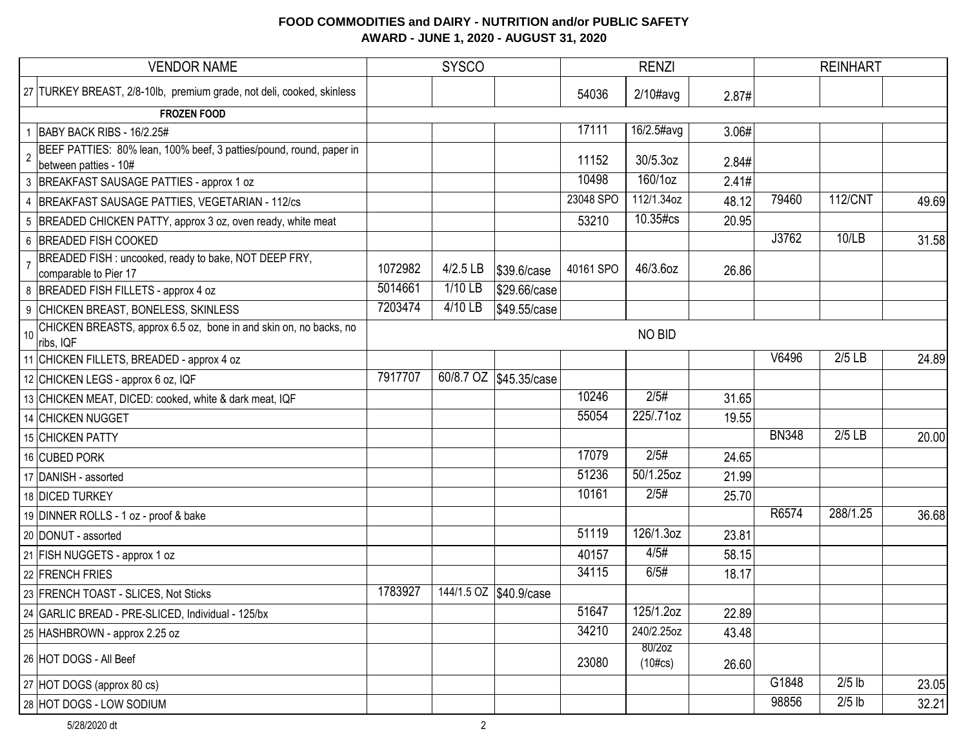| <b>VENDOR NAME</b>                                                                                             |         | <b>SYSCO</b> |                        |           | <b>RENZI</b>         |       |              | <b>REINHART</b> |       |
|----------------------------------------------------------------------------------------------------------------|---------|--------------|------------------------|-----------|----------------------|-------|--------------|-----------------|-------|
| 27 TURKEY BREAST, 2/8-10lb, premium grade, not deli, cooked, skinless                                          |         |              |                        | 54036     | $2/10\#avg$          | 2.87# |              |                 |       |
| <b>FROZEN FOOD</b>                                                                                             |         |              |                        |           |                      |       |              |                 |       |
| BABY BACK RIBS - 16/2.25#                                                                                      |         |              |                        | 17111     | 16/2.5#avg           | 3.06# |              |                 |       |
| BEEF PATTIES: 80% lean, 100% beef, 3 patties/pound, round, paper in<br>$\overline{2}$<br>between patties - 10# |         |              |                        | 11152     | 30/5.3oz             | 2.84# |              |                 |       |
| 3 BREAKFAST SAUSAGE PATTIES - approx 1 oz                                                                      |         |              |                        | 10498     | 160/1oz              | 2.41# |              |                 |       |
| 4 BREAKFAST SAUSAGE PATTIES, VEGETARIAN - 112/cs                                                               |         |              |                        | 23048 SPO | 112/1.34oz           | 48.12 | 79460        | 112/CNT         | 49.69 |
| 5 BREADED CHICKEN PATTY, approx 3 oz, oven ready, white meat                                                   |         |              |                        | 53210     | 10.35#cs             | 20.95 |              |                 |       |
| 6 BREADED FISH COOKED                                                                                          |         |              |                        |           |                      |       | J3762        | 10/LB           | 31.58 |
| BREADED FISH : uncooked, ready to bake, NOT DEEP FRY,<br>comparable to Pier 17                                 | 1072982 | $4/2.5$ LB   | \$39.6/case            | 40161 SPO | 46/3.6oz             | 26.86 |              |                 |       |
| 8 BREADED FISH FILLETS - approx 4 oz                                                                           | 5014661 | 1/10 LB      | \$29.66/case           |           |                      |       |              |                 |       |
| 9 CHICKEN BREAST, BONELESS, SKINLESS                                                                           | 7203474 | $4/10$ LB    | \$49.55/case           |           |                      |       |              |                 |       |
| CHICKEN BREASTS, approx 6.5 oz, bone in and skin on, no backs, no<br>10<br>ribs, IQF                           |         |              |                        |           | NO BID               |       |              |                 |       |
| 11 CHICKEN FILLETS, BREADED - approx 4 oz                                                                      |         |              |                        |           |                      |       | V6496        | $2/5$ LB        | 24.89 |
| 12 CHICKEN LEGS - approx 6 oz, IQF                                                                             | 7917707 |              | 60/8.7 OZ \$45.35/case |           |                      |       |              |                 |       |
| 13 CHICKEN MEAT, DICED: cooked, white & dark meat, IQF                                                         |         |              |                        | 10246     | 2/5#                 | 31.65 |              |                 |       |
| 14 CHICKEN NUGGET                                                                                              |         |              |                        | 55054     | 225/.71oz            | 19.55 |              |                 |       |
| 15 CHICKEN PATTY                                                                                               |         |              |                        |           |                      |       | <b>BN348</b> | $2/5$ LB        | 20.00 |
| 16 CUBED PORK                                                                                                  |         |              |                        | 17079     | 2/5#                 | 24.65 |              |                 |       |
| 17 DANISH - assorted                                                                                           |         |              |                        | 51236     | 50/1.25oz            | 21.99 |              |                 |       |
| 18 DICED TURKEY                                                                                                |         |              |                        | 10161     | 2/5#                 | 25.70 |              |                 |       |
| 19 DINNER ROLLS - 1 oz - proof & bake                                                                          |         |              |                        |           |                      |       | R6574        | 288/1.25        | 36.68 |
| 20 DONUT - assorted                                                                                            |         |              |                        | 51119     | 126/1.3oz            | 23.81 |              |                 |       |
| 21 FISH NUGGETS - approx 1 oz                                                                                  |         |              |                        | 40157     | 4/5#                 | 58.15 |              |                 |       |
| 22 FRENCH FRIES                                                                                                |         |              |                        | 34115     | 6/5#                 | 18.17 |              |                 |       |
| 23 FRENCH TOAST - SLICES, Not Sticks                                                                           | 1783927 |              | 144/1.5 OZ \$40.9/case |           |                      |       |              |                 |       |
| 24 GARLIC BREAD - PRE-SLICED, Individual - 125/bx                                                              |         |              |                        | 51647     | 125/1.2oz            | 22.89 |              |                 |       |
| 25 HASHBROWN - approx 2.25 oz                                                                                  |         |              |                        | 34210     | 240/2.25oz           | 43.48 |              |                 |       |
| 26 HOT DOGS - All Beef                                                                                         |         |              |                        | 23080     | 80/2oz<br>$(10\#cs)$ | 26.60 |              |                 |       |
| 27 HOT DOGS (approx 80 cs)                                                                                     |         |              |                        |           |                      |       | G1848        | $2/5$ lb        | 23.05 |
| 28 HOT DOGS - LOW SODIUM                                                                                       |         |              |                        |           |                      |       | 98856        | $2/5$ lb        | 32.21 |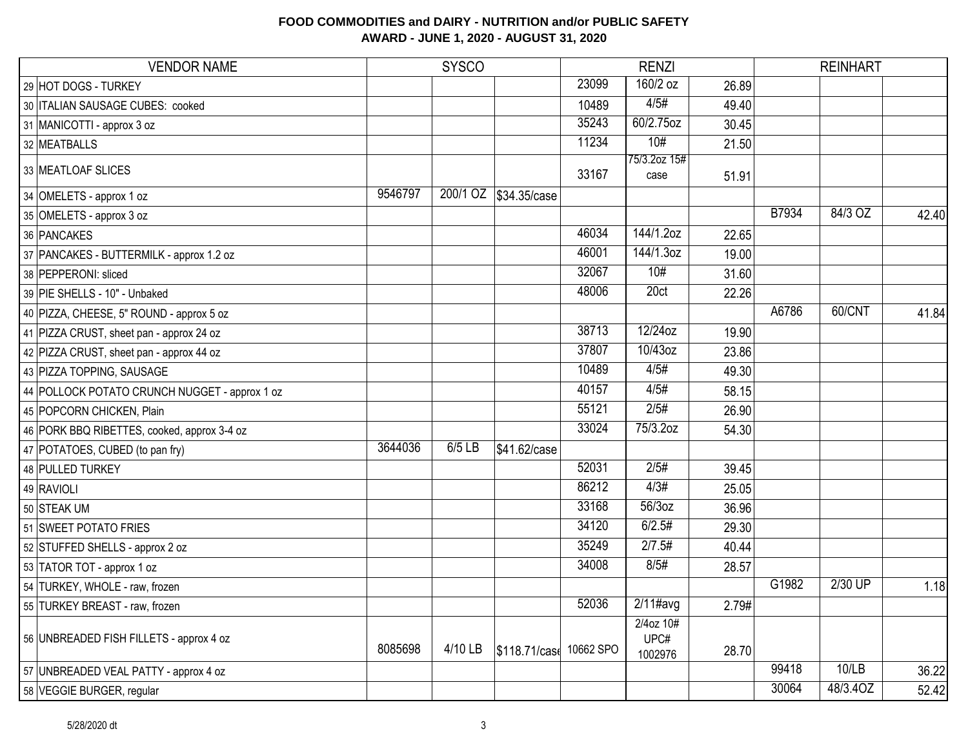| <b>VENDOR NAME</b>                            |         | <b>SYSCO</b> |                        |       | <b>RENZI</b>                 |       |       | <b>REINHART</b> |       |
|-----------------------------------------------|---------|--------------|------------------------|-------|------------------------------|-------|-------|-----------------|-------|
| 29 HOT DOGS - TURKEY                          |         |              |                        | 23099 | 160/2 oz                     | 26.89 |       |                 |       |
| 30   ITALIAN SAUSAGE CUBES: cooked            |         |              |                        | 10489 | 4/5#                         | 49.40 |       |                 |       |
| 31 MANICOTTI - approx 3 oz                    |         |              |                        | 35243 | 60/2.75oz                    | 30.45 |       |                 |       |
| 32 MEATBALLS                                  |         |              |                        | 11234 | 10#                          | 21.50 |       |                 |       |
| 33 MEATLOAF SLICES                            |         |              |                        | 33167 | 75/3.2oz 15#<br>case         | 51.91 |       |                 |       |
| 34 OMELETS - approx 1 oz                      | 9546797 |              | 200/1 OZ \$34.35/case  |       |                              |       |       |                 |       |
| 35 OMELETS - approx 3 oz                      |         |              |                        |       |                              |       | B7934 | 84/3 OZ         | 42.40 |
| 36 PANCAKES                                   |         |              |                        | 46034 | 144/1.2oz                    | 22.65 |       |                 |       |
| 37 PANCAKES - BUTTERMILK - approx 1.2 oz      |         |              |                        | 46001 | 144/1.3oz                    | 19.00 |       |                 |       |
| 38 PEPPERONI: sliced                          |         |              |                        | 32067 | 10#                          | 31.60 |       |                 |       |
| 39 PIE SHELLS - 10" - Unbaked                 |         |              |                        | 48006 | 20ct                         | 22.26 |       |                 |       |
| 40 PIZZA, CHEESE, 5" ROUND - approx 5 oz      |         |              |                        |       |                              |       | A6786 | 60/CNT          | 41.84 |
| 41 PIZZA CRUST, sheet pan - approx 24 oz      |         |              |                        | 38713 | 12/24oz                      | 19.90 |       |                 |       |
| 42 PIZZA CRUST, sheet pan - approx 44 oz      |         |              |                        | 37807 | 10/43oz                      | 23.86 |       |                 |       |
| 43 PIZZA TOPPING, SAUSAGE                     |         |              |                        | 10489 | 4/5#                         | 49.30 |       |                 |       |
| 44 POLLOCK POTATO CRUNCH NUGGET - approx 1 oz |         |              |                        | 40157 | 4/5#                         | 58.15 |       |                 |       |
| 45 POPCORN CHICKEN, Plain                     |         |              |                        | 55121 | 2/5#                         | 26.90 |       |                 |       |
| 46 PORK BBQ RIBETTES, cooked, approx 3-4 oz   |         |              |                        | 33024 | 75/3.2oz                     | 54.30 |       |                 |       |
| 47 POTATOES, CUBED (to pan fry)               | 3644036 | 6/5 LB       | \$41.62/case           |       |                              |       |       |                 |       |
| 48 PULLED TURKEY                              |         |              |                        | 52031 | 2/5#                         | 39.45 |       |                 |       |
| 49 RAVIOLI                                    |         |              |                        | 86212 | 4/3#                         | 25.05 |       |                 |       |
| 50 STEAK UM                                   |         |              |                        | 33168 | 56/3oz                       | 36.96 |       |                 |       |
| 51 SWEET POTATO FRIES                         |         |              |                        | 34120 | 6/2.5#                       | 29.30 |       |                 |       |
| 52 STUFFED SHELLS - approx 2 oz               |         |              |                        | 35249 | 2/7.5#                       | 40.44 |       |                 |       |
| 53 TATOR TOT - approx 1 oz                    |         |              |                        | 34008 | 8/5#                         | 28.57 |       |                 |       |
| 54 TURKEY, WHOLE - raw, frozen                |         |              |                        |       |                              |       | G1982 | 2/30 UP         | 1.18  |
| 55 TURKEY BREAST - raw, frozen                |         |              |                        | 52036 | $2/11$ #avg                  | 2.79# |       |                 |       |
| 56 UNBREADED FISH FILLETS - approx 4 oz       | 8085698 | 4/10 LB      | \$118.71/cas 10662 SPO |       | 2/4oz 10#<br>UPC#<br>1002976 | 28.70 |       |                 |       |
| 57 UNBREADED VEAL PATTY - approx 4 oz         |         |              |                        |       |                              |       | 99418 | 10/LB           | 36.22 |
| 58 VEGGIE BURGER, regular                     |         |              |                        |       |                              |       | 30064 | 48/3.4OZ        | 52.42 |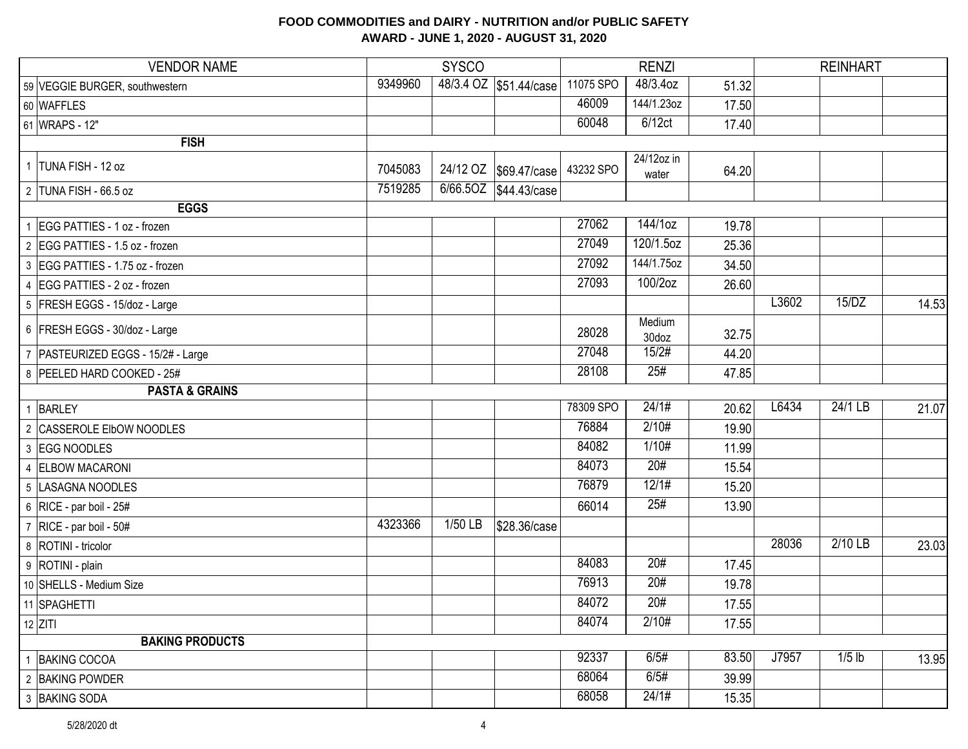| <b>VENDOR NAME</b>                   |         | <b>SYSCO</b> |                         |           | <b>RENZI</b>        |       |       | <b>REINHART</b> |       |
|--------------------------------------|---------|--------------|-------------------------|-----------|---------------------|-------|-------|-----------------|-------|
| 59 VEGGIE BURGER, southwestern       | 9349960 |              | 48/3.4 OZ \$51.44/case  | 11075 SPO | 48/3.4oz            | 51.32 |       |                 |       |
| 60 WAFFLES                           |         |              |                         | 46009     | 144/1.23oz          | 17.50 |       |                 |       |
| 61 WRAPS - 12"                       |         |              |                         | 60048     | 6/12ct              | 17.40 |       |                 |       |
| <b>FISH</b>                          |         |              |                         |           |                     |       |       |                 |       |
| 1 TUNA FISH - 12 oz                  | 7045083 |              | 24/12 OZ   \$69.47/case | 43232 SPO | 24/12oz in<br>water | 64.20 |       |                 |       |
| 2 TUNA FISH - 66.5 oz                | 7519285 | 6/66.5OZ     | \$44.43/case            |           |                     |       |       |                 |       |
| <b>EGGS</b>                          |         |              |                         |           |                     |       |       |                 |       |
| 1   EGG PATTIES - 1 oz - frozen      |         |              |                         | 27062     | 144/1oz             | 19.78 |       |                 |       |
| 2 EGG PATTIES - 1.5 oz - frozen      |         |              |                         | 27049     | $120/1.5$ oz        | 25.36 |       |                 |       |
| 3 EGG PATTIES - 1.75 oz - frozen     |         |              |                         | 27092     | 144/1.75oz          | 34.50 |       |                 |       |
| 4 EGG PATTIES - 2 oz - frozen        |         |              |                         | 27093     | 100/2oz             | 26.60 |       |                 |       |
| 5 FRESH EGGS - 15/doz - Large        |         |              |                         |           |                     |       | L3602 | 15/DZ           | 14.53 |
| 6 FRESH EGGS - 30/doz - Large        |         |              |                         | 28028     | Medium<br>30doz     | 32.75 |       |                 |       |
| 7   PASTEURIZED EGGS - 15/2# - Large |         |              |                         | 27048     | 15/2#               | 44.20 |       |                 |       |
| 8 PEELED HARD COOKED - 25#           |         |              |                         | 28108     | 25#                 | 47.85 |       |                 |       |
| <b>PASTA &amp; GRAINS</b>            |         |              |                         |           |                     |       |       |                 |       |
| 1 BARLEY                             |         |              |                         | 78309 SPO | 24/1#               | 20.62 | L6434 | 24/1 LB         | 21.07 |
| 2 CASSEROLE EIbOW NOODLES            |         |              |                         | 76884     | 2/10#               | 19.90 |       |                 |       |
| 3 EGG NOODLES                        |         |              |                         | 84082     | 1/10#               | 11.99 |       |                 |       |
| 4 ELBOW MACARONI                     |         |              |                         | 84073     | 20#                 | 15.54 |       |                 |       |
| 5  LASAGNA NOODLES                   |         |              |                         | 76879     | 12/1#               | 15.20 |       |                 |       |
| 6 RICE - par boil - $25#$            |         |              |                         | 66014     | 25#                 | 13.90 |       |                 |       |
| $\mid$ 7 RICE - par boil - 50#       | 4323366 | 1/50 LB      | \$28.36/case            |           |                     |       |       |                 |       |
| 8   ROTINI - tricolor                |         |              |                         |           |                     |       | 28036 | 2/10 LB         | 23.03 |
| 9 ROTINI - plain                     |         |              |                         | 84083     | 20#                 | 17.45 |       |                 |       |
| 10 SHELLS - Medium Size              |         |              |                         | 76913     | 20#                 | 19.78 |       |                 |       |
| 11 SPAGHETTI                         |         |              |                         | 84072     | 20#                 | 17.55 |       |                 |       |
| $12$ ZITI                            |         |              |                         | 84074     | 2/10#               | 17.55 |       |                 |       |
| <b>BAKING PRODUCTS</b>               |         |              |                         |           |                     |       |       |                 |       |
| 1 BAKING COCOA                       |         |              |                         | 92337     | 6/5#                | 83.50 | J7957 | $1/5$ lb        | 13.95 |
| 2 BAKING POWDER                      |         |              |                         | 68064     | 6/5#                | 39.99 |       |                 |       |
| 3 BAKING SODA                        |         |              |                         | 68058     | 24/1#               | 15.35 |       |                 |       |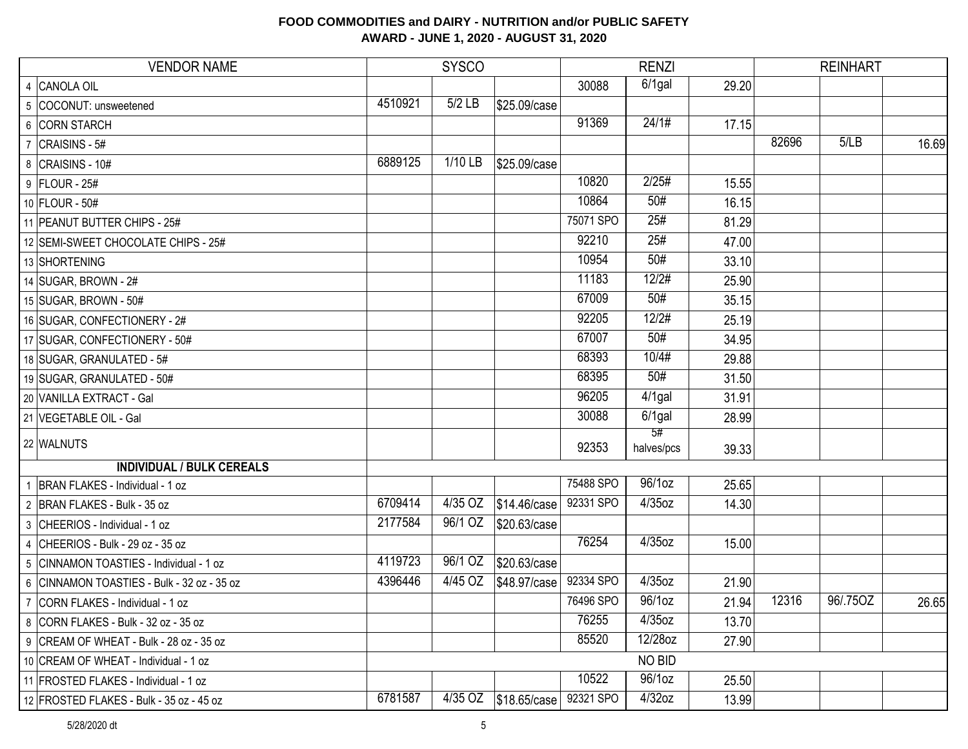| <b>VENDOR NAME</b>                         |         | <b>SYSCO</b> |              |           | <b>RENZI</b>     |       |       |          |       |
|--------------------------------------------|---------|--------------|--------------|-----------|------------------|-------|-------|----------|-------|
| 4 CANOLA OIL                               |         |              |              | 30088     | $6/1$ gal        | 29.20 |       |          |       |
| 5 COCONUT: unsweetened                     | 4510921 | $5/2$ LB     | \$25.09/case |           |                  |       |       |          |       |
| 6 CORN STARCH                              |         |              |              | 91369     | 24/1#            | 17.15 |       |          |       |
| $7$ CRAISINS - 5#                          |         |              |              |           |                  |       | 82696 | 5/LB     | 16.69 |
| 8 CRAISINS - 10#                           | 6889125 | 1/10 LB      | \$25.09/case |           |                  |       |       |          |       |
| 9 FLOUR - 25#                              |         |              |              | 10820     | 2/25#            | 15.55 |       |          |       |
| 10 FLOUR - 50#                             |         |              |              | 10864     | 50#              | 16.15 |       |          |       |
| 11 PEANUT BUTTER CHIPS - 25#               |         |              |              | 75071 SPO | 25#              | 81.29 |       |          |       |
| 12 SEMI-SWEET CHOCOLATE CHIPS - 25#        |         |              |              | 92210     | 25#              | 47.00 |       |          |       |
| 13 SHORTENING                              |         |              |              | 10954     | 50#              | 33.10 |       |          |       |
| 14 SUGAR, BROWN - 2#                       |         |              |              | 11183     | 12/2#            | 25.90 |       |          |       |
| 15 SUGAR, BROWN - 50#                      |         |              |              | 67009     | 50#              | 35.15 |       |          |       |
| 16 SUGAR, CONFECTIONERY - 2#               |         |              |              | 92205     | 12/2#            | 25.19 |       |          |       |
| 17 SUGAR, CONFECTIONERY - 50#              |         |              |              | 67007     | 50#              | 34.95 |       |          |       |
| 18 SUGAR, GRANULATED - 5#                  |         |              |              | 68393     | 10/4#            | 29.88 |       |          |       |
| 19 SUGAR, GRANULATED - 50#                 |         |              |              | 68395     | 50#              | 31.50 |       |          |       |
| 20 VANILLA EXTRACT - Gal                   |         |              |              | 96205     | $4/1$ gal        | 31.91 |       |          |       |
| 21 VEGETABLE OIL - Gal                     |         |              |              | 30088     | $6/1$ gal        | 28.99 |       |          |       |
| 22 WALNUTS                                 |         |              |              | 92353     | 5#<br>halves/pcs | 39.33 |       |          |       |
| <b>INDIVIDUAL / BULK CEREALS</b>           |         |              |              |           |                  |       |       |          |       |
| BRAN FLAKES - Individual - 1 oz            |         |              |              | 75488 SPO | 96/1oz           | 25.65 |       |          |       |
| 2 BRAN FLAKES - Bulk - 35 oz               | 6709414 | 4/35 OZ      | \$14.46/case | 92331 SPO | 4/35oz           | 14.30 |       |          |       |
| 3 CHEERIOS - Individual - 1 oz             | 2177584 | 96/1 OZ      | \$20.63/case |           |                  |       |       |          |       |
| 4 CHEERIOS - Bulk - 29 oz - 35 oz          |         |              |              | 76254     | $4/35$ oz        | 15.00 |       |          |       |
| 5 CINNAMON TOASTIES - Individual - 1 oz    | 4119723 | 96/1 OZ      | \$20.63/case |           |                  |       |       |          |       |
| 6 CINNAMON TOASTIES - Bulk - 32 oz - 35 oz | 4396446 | 4/45 OZ      | \$48.97/case | 92334 SPO | 4/35oz           | 21.90 |       |          |       |
| 7 CORN FLAKES - Individual - 1 oz          |         |              |              | 76496 SPO | 96/1oz           | 21.94 | 12316 | 96/.75OZ | 26.65 |
| 8 CORN FLAKES - Bulk - 32 oz - 35 oz       |         |              |              | 76255     | $4/35$ oz        | 13.70 |       |          |       |
| 9 CREAM OF WHEAT - Bulk - 28 oz - 35 oz    |         |              |              | 85520     | 12/28oz          | 27.90 |       |          |       |
| 10   CREAM OF WHEAT - Individual - 1 oz    |         |              |              |           | NO BID           |       |       |          |       |
| 11 FROSTED FLAKES - Individual - 1 oz      |         |              |              | 10522     | 96/1oz           | 25.50 |       |          |       |
| 12 FROSTED FLAKES - Bulk - 35 oz - 45 oz   | 6781587 | $4/35$ OZ    | \$18.65/case | 92321 SPO | $4/32$ oz        | 13.99 |       |          |       |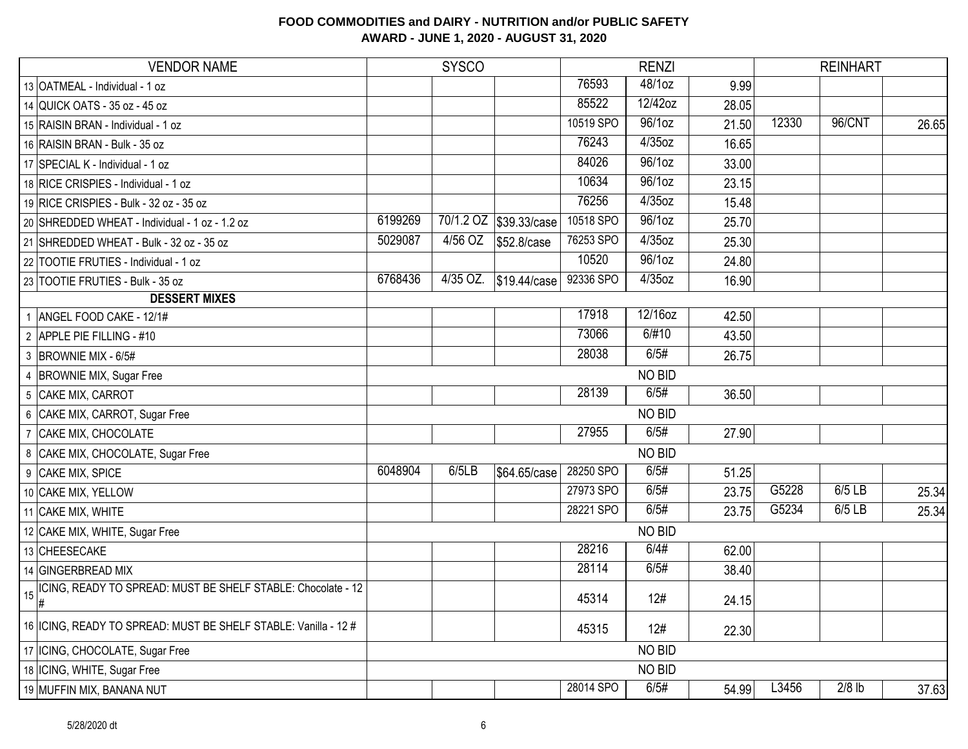| <b>VENDOR NAME</b>                                                                |         | <b>SYSCO</b> |                        |           | <b>RENZI</b> |       |       | <b>REINHART</b> |       |
|-----------------------------------------------------------------------------------|---------|--------------|------------------------|-----------|--------------|-------|-------|-----------------|-------|
| 13 OATMEAL - Individual - 1 oz                                                    |         |              |                        | 76593     | 48/1oz       | 9.99  |       |                 |       |
| 14 QUICK OATS - 35 oz - 45 oz                                                     |         |              |                        | 85522     | 12/42oz      | 28.05 |       |                 |       |
| 15 RAISIN BRAN - Individual - 1 oz                                                |         |              |                        | 10519 SPO | 96/1oz       | 21.50 | 12330 | 96/CNT          | 26.65 |
| 16 RAISIN BRAN - Bulk - 35 oz                                                     |         |              |                        | 76243     | 4/35oz       | 16.65 |       |                 |       |
| 17 SPECIAL K - Individual - 1 oz                                                  |         |              |                        | 84026     | 96/1oz       | 33.00 |       |                 |       |
| 18 RICE CRISPIES - Individual - 1 oz                                              |         |              |                        | 10634     | 96/1oz       | 23.15 |       |                 |       |
| 19 RICE CRISPIES - Bulk - 32 oz - 35 oz                                           |         |              |                        | 76256     | 4/35oz       | 15.48 |       |                 |       |
| 20 SHREDDED WHEAT - Individual - 1 oz - 1.2 oz                                    | 6199269 |              | 70/1.2 OZ \$39.33/case | 10518 SPO | 96/1oz       | 25.70 |       |                 |       |
| 21 SHREDDED WHEAT - Bulk - 32 oz - 35 oz                                          | 5029087 | 4/56 OZ      | \$52.8/case            | 76253 SPO | 4/35oz       | 25.30 |       |                 |       |
| 22 TOOTIE FRUTIES - Individual - 1 oz                                             |         |              |                        | 10520     | 96/10z       | 24.80 |       |                 |       |
| 23 TOOTIE FRUTIES - Bulk - 35 oz                                                  | 6768436 | 4/35 OZ.     | \$19.44/case           | 92336 SPO | 4/35oz       | 16.90 |       |                 |       |
| <b>DESSERT MIXES</b>                                                              |         |              |                        |           |              |       |       |                 |       |
| 1 ANGEL FOOD CAKE - 12/1#                                                         |         |              |                        | 17918     | 12/16oz      | 42.50 |       |                 |       |
| 2 APPLE PIE FILLING - #10                                                         |         |              |                        | 73066     | 6/#10        | 43.50 |       |                 |       |
| 3 BROWNIE MIX - 6/5#                                                              |         |              |                        | 28038     | 6/5#         | 26.75 |       |                 |       |
| 4 BROWNIE MIX, Sugar Free                                                         |         |              |                        |           | NO BID       |       |       |                 |       |
| 5 CAKE MIX, CARROT                                                                |         |              |                        | 28139     | 6/5#         | 36.50 |       |                 |       |
| 6 CAKE MIX, CARROT, Sugar Free                                                    |         |              |                        |           | NO BID       |       |       |                 |       |
| 7 CAKE MIX, CHOCOLATE                                                             |         |              |                        | 27955     | 6/5#         | 27.90 |       |                 |       |
| 8 CAKE MIX, CHOCOLATE, Sugar Free                                                 |         |              |                        |           | NO BID       |       |       |                 |       |
| 9 CAKE MIX, SPICE                                                                 | 6048904 | 6/5LB        | \$64.65/case           | 28250 SPO | 6/5#         | 51.25 |       |                 |       |
| 10 CAKE MIX, YELLOW                                                               |         |              |                        | 27973 SPO | 6/5#         | 23.75 | G5228 | $6/5$ LB        | 25.34 |
| 11 CAKE MIX, WHITE                                                                |         |              |                        | 28221 SPO | 6/5#         | 23.75 | G5234 | 6/5 LB          | 25.34 |
| 12 CAKE MIX, WHITE, Sugar Free                                                    |         |              |                        |           | NO BID       |       |       |                 |       |
| 13 CHEESECAKE                                                                     |         |              |                        | 28216     | 6/4#         | 62.00 |       |                 |       |
| 14 GINGERBREAD MIX                                                                |         |              |                        | 28114     | 6/5#         | 38.40 |       |                 |       |
| ICING, READY TO SPREAD: MUST BE SHELF STABLE: Chocolate - 12<br>$15\frac{R}{\mu}$ |         |              |                        | 45314     | 12#          | 24.15 |       |                 |       |
| 16   ICING, READY TO SPREAD: MUST BE SHELF STABLE: Vanilla - 12 #                 |         |              |                        | 45315     | 12#          | 22.30 |       |                 |       |
| 17   ICING, CHOCOLATE, Sugar Free                                                 |         |              |                        |           | NO BID       |       |       |                 |       |
| 18   ICING, WHITE, Sugar Free                                                     |         |              |                        |           | NO BID       |       |       |                 |       |
| 19 MUFFIN MIX, BANANA NUT                                                         |         |              |                        | 28014 SPO | 6/5#         | 54.99 | L3456 | $2/8$ lb        | 37.63 |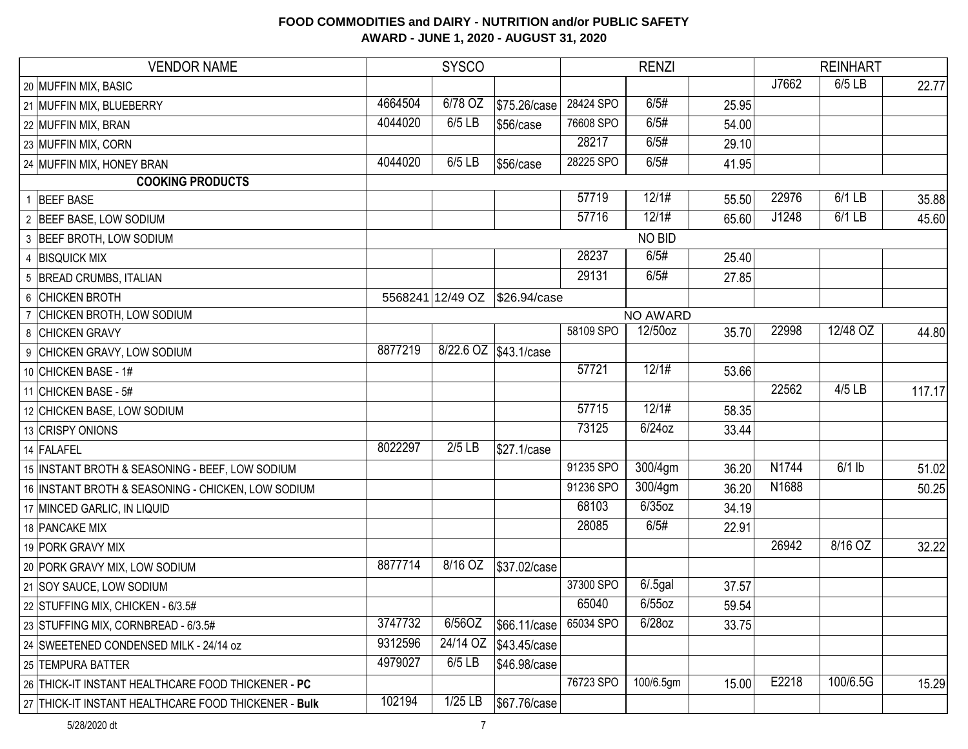| <b>VENDOR NAME</b>                                   |         | <b>SYSCO</b>     | <b>RENZI</b>          |           |             |       |       | <b>REINHART</b> |        |
|------------------------------------------------------|---------|------------------|-----------------------|-----------|-------------|-------|-------|-----------------|--------|
| 20 MUFFIN MIX, BASIC                                 |         |                  |                       |           |             |       | J7662 | $6/5$ LB        | 22.77  |
| 21 MUFFIN MIX, BLUEBERRY                             | 4664504 | 6/78 OZ          | \$75.26/case          | 28424 SPO | 6/5#        | 25.95 |       |                 |        |
| 22 MUFFIN MIX, BRAN                                  | 4044020 | 6/5 LB           | \$56/case             | 76608 SPO | 6/5#        | 54.00 |       |                 |        |
| 23 MUFFIN MIX, CORN                                  |         |                  |                       | 28217     | 6/5#        | 29.10 |       |                 |        |
| 24 MUFFIN MIX, HONEY BRAN                            | 4044020 | 6/5 LB           | \$56/case             | 28225 SPO | 6/5#        | 41.95 |       |                 |        |
| <b>COOKING PRODUCTS</b>                              |         |                  |                       |           |             |       |       |                 |        |
| 1 BEEF BASE                                          |         |                  |                       | 57719     | 12/1#       | 55.50 | 22976 | 6/1 LB          | 35.88  |
| 2 BEEF BASE, LOW SODIUM                              |         |                  |                       | 57716     | 12/1#       | 65.60 | J1248 | 6/1 LB          | 45.60  |
| 3 BEEF BROTH, LOW SODIUM                             |         |                  |                       |           | NO BID      |       |       |                 |        |
| 4 BISQUICK MIX                                       |         |                  |                       | 28237     | 6/5#        | 25.40 |       |                 |        |
| 5 BREAD CRUMBS, ITALIAN                              |         |                  |                       | 29131     | 6/5#        | 27.85 |       |                 |        |
| 6 CHICKEN BROTH                                      |         | 5568241 12/49 OZ | \$26.94/case          |           |             |       |       |                 |        |
| 7 CHICKEN BROTH, LOW SODIUM                          |         |                  |                       |           | NO AWARD    |       |       |                 |        |
| 8 CHICKEN GRAVY                                      |         |                  |                       | 58109 SPO | 12/50oz     | 35.70 | 22998 | 12/48 OZ        | 44.80  |
| 9 CHICKEN GRAVY, LOW SODIUM                          | 8877219 |                  | 8/22.6 OZ \$43.1/case |           |             |       |       |                 |        |
| 10 CHICKEN BASE - 1#                                 |         |                  |                       | 57721     | 12/1#       | 53.66 |       |                 |        |
| 11 CHICKEN BASE - 5#                                 |         |                  |                       |           |             |       | 22562 | 4/5 LB          | 117.17 |
| 12 CHICKEN BASE, LOW SODIUM                          |         |                  |                       | 57715     | 12/1#       | 58.35 |       |                 |        |
| 13 CRISPY ONIONS                                     |         |                  |                       | 73125     | 6/24oz      | 33.44 |       |                 |        |
| 14 FALAFEL                                           | 8022297 | $2/5$ LB         | \$27.1/case           |           |             |       |       |                 |        |
| 15 INSTANT BROTH & SEASONING - BEEF, LOW SODIUM      |         |                  |                       | 91235 SPO | 300/4gm     | 36.20 | N1744 | $6/1$ lb        | 51.02  |
| 16 INSTANT BROTH & SEASONING - CHICKEN, LOW SODIUM   |         |                  |                       | 91236 SPO | 300/4gm     | 36.20 | N1688 |                 | 50.25  |
| 17 MINCED GARLIC, IN LIQUID                          |         |                  |                       | 68103     | $6/35$ oz   | 34.19 |       |                 |        |
| 18 PANCAKE MIX                                       |         |                  |                       | 28085     | 6/5#        | 22.91 |       |                 |        |
| 19 PORK GRAVY MIX                                    |         |                  |                       |           |             |       | 26942 | 8/16 OZ         | 32.22  |
| 20 PORK GRAVY MIX, LOW SODIUM                        | 8877714 | 8/16 OZ          | \$37.02/case          |           |             |       |       |                 |        |
| 21 SOY SAUCE, LOW SODIUM                             |         |                  |                       | 37300 SPO | $6/0.5$ gal | 37.57 |       |                 |        |
| 22 STUFFING MIX, CHICKEN - 6/3.5#                    |         |                  |                       | 65040     | $6/55$ oz   | 59.54 |       |                 |        |
| 23 STUFFING MIX, CORNBREAD - 6/3.5#                  | 3747732 | 6/56OZ           | \$66.11/case          | 65034 SPO | 6/28oz      | 33.75 |       |                 |        |
| 24 SWEETENED CONDENSED MILK - 24/14 oz               | 9312596 | 24/14 OZ         | \$43.45/case          |           |             |       |       |                 |        |
| 25 TEMPURA BATTER                                    | 4979027 | 6/5 LB           | \$46.98/case          |           |             |       |       |                 |        |
| 26 THICK-IT INSTANT HEALTHCARE FOOD THICKENER - PC   |         |                  |                       | 76723 SPO | 100/6.5gm   | 15.00 | E2218 | 100/6.5G        | 15.29  |
| 27 THICK-IT INSTANT HEALTHCARE FOOD THICKENER - Bulk | 102194  | $1/25$ LB        | \$67.76/case          |           |             |       |       |                 |        |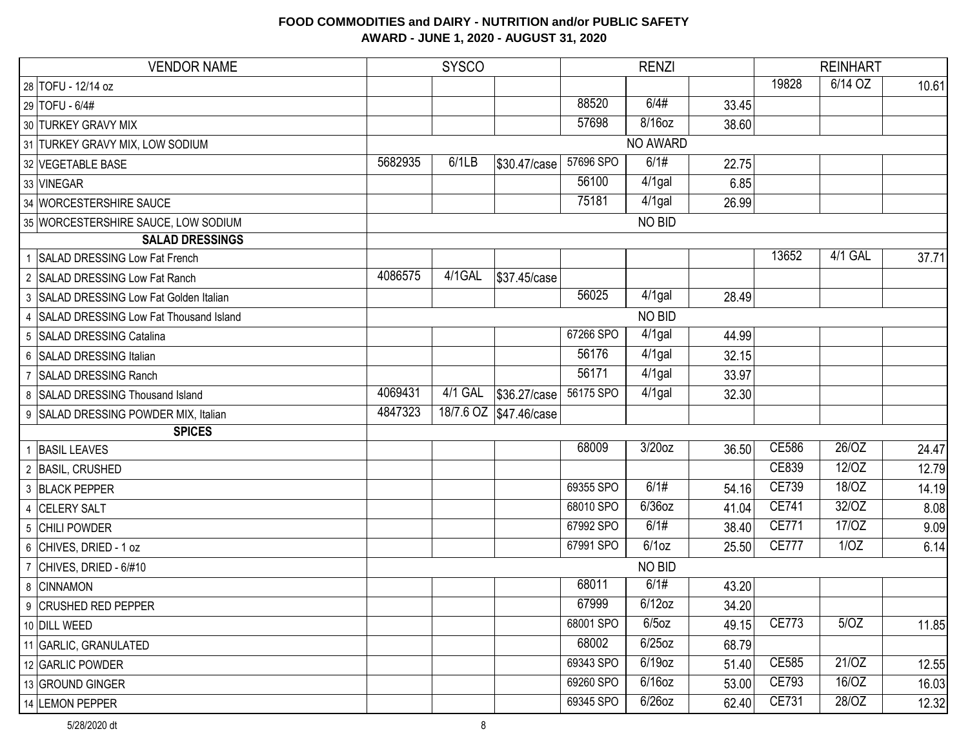| <b>VENDOR NAME</b>                            | <b>SYSCO</b> |         |                        |           | <b>RENZI</b> |       |              | <b>REINHART</b> |       |  |
|-----------------------------------------------|--------------|---------|------------------------|-----------|--------------|-------|--------------|-----------------|-------|--|
| 28 TOFU - 12/14 oz                            |              |         |                        |           |              |       | 19828        | 6/14 OZ         | 10.61 |  |
| 29 TOFU - 6/4#                                |              |         |                        | 88520     | 6/4#         | 33.45 |              |                 |       |  |
| 30 TURKEY GRAVY MIX                           |              |         |                        | 57698     | 8/16oz       | 38.60 |              |                 |       |  |
| 31 TURKEY GRAVY MIX, LOW SODIUM               |              |         |                        |           | NO AWARD     |       |              |                 |       |  |
| 32 VEGETABLE BASE                             | 5682935      | 6/1LB   | \$30.47/case           | 57696 SPO | 6/1#         | 22.75 |              |                 |       |  |
| 33 VINEGAR                                    |              |         |                        | 56100     | 4/1gal       | 6.85  |              |                 |       |  |
| 34 WORCESTERSHIRE SAUCE                       |              |         |                        | 75181     | 4/1gal       | 26.99 |              |                 |       |  |
| 35 WORCESTERSHIRE SAUCE, LOW SODIUM           |              |         |                        |           | NO BID       |       |              |                 |       |  |
| <b>SALAD DRESSINGS</b>                        |              |         |                        |           |              |       |              |                 |       |  |
| 1 SALAD DRESSING Low Fat French               |              |         |                        |           |              |       | 13652        | 4/1 GAL         | 37.71 |  |
| 2 SALAD DRESSING Low Fat Ranch                | 4086575      | 4/1GAL  | \$37.45/case           |           |              |       |              |                 |       |  |
| 3 SALAD DRESSING Low Fat Golden Italian       |              |         |                        | 56025     | 4/1gal       | 28.49 |              |                 |       |  |
| 4 SALAD DRESSING Low Fat Thousand Island      |              |         |                        |           | NO BID       |       |              |                 |       |  |
| 5 SALAD DRESSING Catalina                     |              |         |                        | 67266 SPO | 4/1gal       | 44.99 |              |                 |       |  |
| 6 SALAD DRESSING Italian                      |              |         |                        | 56176     | 4/1gal       | 32.15 |              |                 |       |  |
| <b>SALAD DRESSING Ranch</b><br>$\overline{7}$ |              |         |                        | 56171     | 4/1gal       | 33.97 |              |                 |       |  |
| 8 SALAD DRESSING Thousand Island              | 4069431      | 4/1 GAL | \$36.27/case           | 56175 SPO | 4/1gal       | 32.30 |              |                 |       |  |
| 9 SALAD DRESSING POWDER MIX, Italian          | 4847323      |         | 18/7.6 OZ \$47.46/case |           |              |       |              |                 |       |  |
| <b>SPICES</b>                                 |              |         |                        |           |              |       |              |                 |       |  |
| 1 BASIL LEAVES                                |              |         |                        | 68009     | $3/20$ oz    | 36.50 | CE586        | 26/OZ           | 24.47 |  |
| 2 BASIL, CRUSHED                              |              |         |                        |           |              |       | CE839        | 12/OZ           | 12.79 |  |
| 3 BLACK PEPPER                                |              |         |                        | 69355 SPO | 6/1#         | 54.16 | CE739        | 18/OZ           | 14.19 |  |
| 4 CELERY SALT                                 |              |         |                        | 68010 SPO | 6/36oz       | 41.04 | <b>CE741</b> | 32/OZ           | 8.08  |  |
| 5 CHILI POWDER                                |              |         |                        | 67992 SPO | 6/1#         | 38.40 | CE771        | 17/0Z           | 9.09  |  |
| 6 CHIVES, DRIED - 1 oz                        |              |         |                        | 67991 SPO | 6/1oz        | 25.50 | <b>CE777</b> | 1/OZ            | 6.14  |  |
| 7 CHIVES, DRIED - 6/#10                       |              |         |                        |           | NO BID       |       |              |                 |       |  |
| 8 CINNAMON                                    |              |         |                        | 68011     | 6/1#         | 43.20 |              |                 |       |  |
| 9 CRUSHED RED PEPPER                          |              |         |                        | 67999     | $6/12$ oz    | 34.20 |              |                 |       |  |
| 10 DILL WEED                                  |              |         |                        | 68001 SPO | $6/5$ oz     | 49.15 | <b>CE773</b> | 5/OZ            | 11.85 |  |
| 11 GARLIC, GRANULATED                         |              |         |                        | 68002     | $6/25$ oz    | 68.79 |              |                 |       |  |
| 12 GARLIC POWDER                              |              |         |                        | 69343 SPO | $6/19$ oz    | 51.40 | CE585        | 21/OZ           | 12.55 |  |
| 13 GROUND GINGER                              |              |         |                        | 69260 SPO | $6/16$ oz    | 53.00 | CE793        | 16/OZ           | 16.03 |  |
| 14 LEMON PEPPER                               |              |         |                        | 69345 SPO | $6/26$ oz    | 62.40 | CE731        | 28/OZ           | 12.32 |  |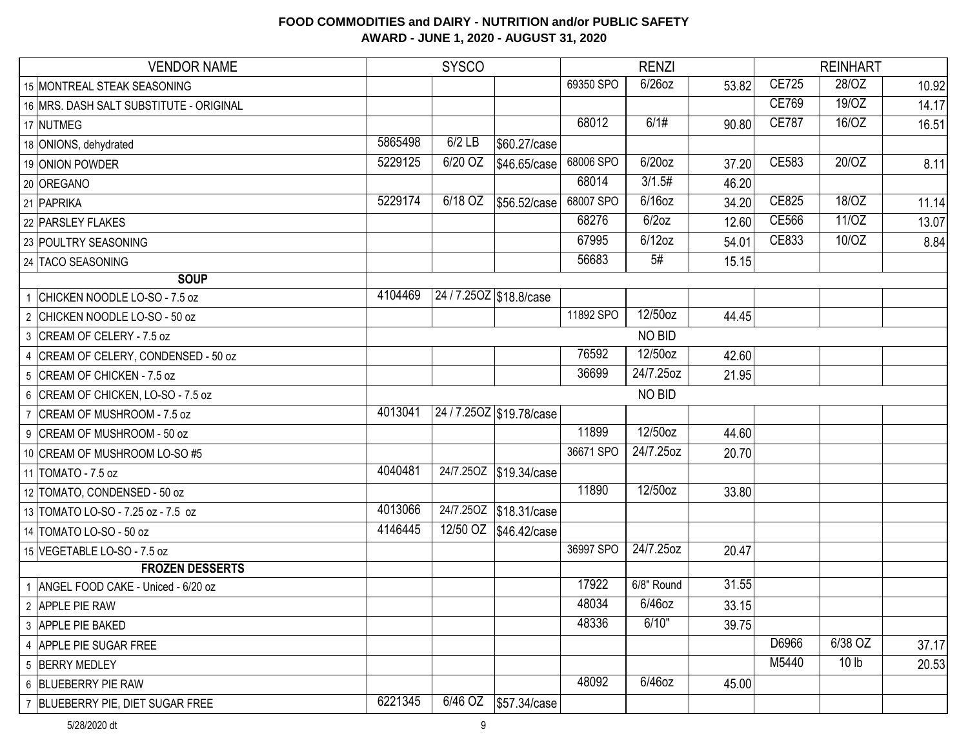| <b>VENDOR NAME</b>                      |         | <b>SYSCO</b> |                          |           | <b>RENZI</b> |       |              | <b>REINHART</b>    |       |
|-----------------------------------------|---------|--------------|--------------------------|-----------|--------------|-------|--------------|--------------------|-------|
| 15 MONTREAL STEAK SEASONING             |         |              |                          | 69350 SPO | $6/26$ oz    | 53.82 | <b>CE725</b> | 28/OZ              | 10.92 |
| 16 MRS. DASH SALT SUBSTITUTE - ORIGINAL |         |              |                          |           |              |       | <b>CE769</b> | 19/0Z              | 14.17 |
| 17 NUTMEG                               |         |              |                          | 68012     | 6/1#         | 90.80 | <b>CE787</b> | 16/OZ              | 16.51 |
| 18 ONIONS, dehydrated                   | 5865498 | $6/2$ LB     | \$60.27/case             |           |              |       |              |                    |       |
| 19 ONION POWDER                         | 5229125 | 6/20 OZ      | \$46.65/case             | 68006 SPO | $6/20$ oz    | 37.20 | CE583        | 20/OZ              | 8.11  |
| 20 OREGANO                              |         |              |                          | 68014     | 3/1.5#       | 46.20 |              |                    |       |
| 21 PAPRIKA                              | 5229174 | 6/18 OZ      | \$56.52/case             | 68007 SPO | $6/16$ oz    | 34.20 | CE825        | 18/OZ              | 11.14 |
| 22 PARSLEY FLAKES                       |         |              |                          | 68276     | 6/2oz        | 12.60 | <b>CE566</b> | 11/OZ              | 13.07 |
| 23 POULTRY SEASONING                    |         |              |                          | 67995     | $6/12$ oz    | 54.01 | CE833        | $\overline{10}/OZ$ | 8.84  |
| 24 TACO SEASONING                       |         |              |                          | 56683     | 5#           | 15.15 |              |                    |       |
| <b>SOUP</b>                             |         |              |                          |           |              |       |              |                    |       |
| 1 CHICKEN NOODLE LO-SO - 7.5 oz         | 4104469 |              | 24/7.250Z \$18.8/case    |           |              |       |              |                    |       |
| 2 CHICKEN NOODLE LO-SO - 50 oz          |         |              |                          | 11892 SPO | 12/50oz      | 44.45 |              |                    |       |
| 3 CREAM OF CELERY - 7.5 oz              |         |              |                          |           | NO BID       |       |              |                    |       |
| 4 CREAM OF CELERY, CONDENSED - 50 oz    |         |              |                          | 76592     | 12/50oz      | 42.60 |              |                    |       |
| 5 CREAM OF CHICKEN - 7.5 oz             |         |              |                          | 36699     | 24/7.25oz    | 21.95 |              |                    |       |
| 6 CREAM OF CHICKEN, LO-SO - 7.5 oz      |         |              |                          |           | NO BID       |       |              |                    |       |
| 7 CREAM OF MUSHROOM - 7.5 oz            | 4013041 |              | 24 / 7.250Z \$19.78/case |           |              |       |              |                    |       |
| 9 CREAM OF MUSHROOM - 50 oz             |         |              |                          | 11899     | 12/50oz      | 44.60 |              |                    |       |
| 10 CREAM OF MUSHROOM LO-SO #5           |         |              |                          | 36671 SPO | 24/7.25oz    | 20.70 |              |                    |       |
| 11 TOMATO - 7.5 oz                      | 4040481 |              | 24/7.250Z \$19.34/case   |           |              |       |              |                    |       |
| 12 TOMATO, CONDENSED - 50 oz            |         |              |                          | 11890     | 12/50oz      | 33.80 |              |                    |       |
| 13 TOMATO LO-SO - 7.25 oz - 7.5 oz      | 4013066 |              | 24/7.250Z \$18.31/case   |           |              |       |              |                    |       |
| 14 TOMATO LO-SO - 50 oz                 | 4146445 |              | 12/50 OZ \$46.42/case    |           |              |       |              |                    |       |
| 15 VEGETABLE LO-SO - 7.5 oz             |         |              |                          | 36997 SPO | 24/7.25oz    | 20.47 |              |                    |       |
| <b>FROZEN DESSERTS</b>                  |         |              |                          |           |              |       |              |                    |       |
| 1 ANGEL FOOD CAKE - Uniced - 6/20 oz    |         |              |                          | 17922     | 6/8" Round   | 31.55 |              |                    |       |
| 2 APPLE PIE RAW                         |         |              |                          | 48034     | $6/46$ oz    | 33.15 |              |                    |       |
| 3 APPLE PIE BAKED                       |         |              |                          | 48336     | 6/10"        | 39.75 |              |                    |       |
| 4 APPLE PIE SUGAR FREE                  |         |              |                          |           |              |       | D6966        | 6/38 OZ            | 37.17 |
| 5 BERRY MEDLEY                          |         |              |                          |           |              |       | M5440        | 10 <sub>lb</sub>   | 20.53 |
| 6 BLUEBERRY PIE RAW                     |         |              |                          | 48092     | 6/46oz       | 45.00 |              |                    |       |
| 7 BLUEBERRY PIE, DIET SUGAR FREE        | 6221345 |              |                          |           |              |       |              |                    |       |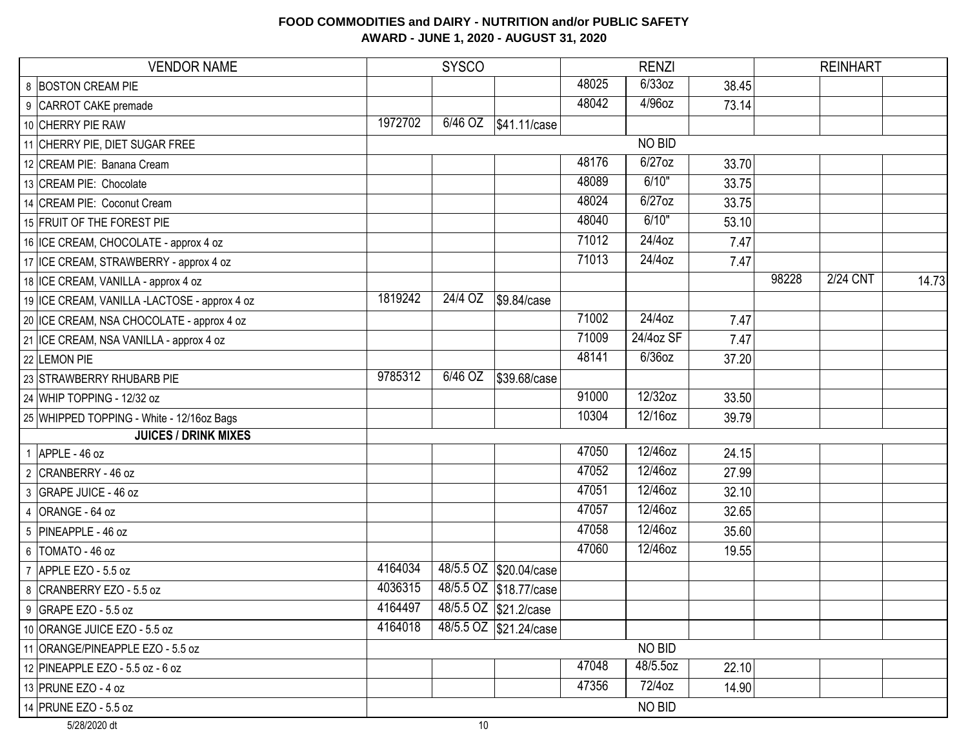| <b>VENDOR NAME</b>                           |         | <b>SYSCO</b> |                        |       | <b>RENZI</b> |       |       | <b>REINHART</b> |       |
|----------------------------------------------|---------|--------------|------------------------|-------|--------------|-------|-------|-----------------|-------|
| 8 BOSTON CREAM PIE                           |         |              |                        | 48025 | 6/33oz       | 38.45 |       |                 |       |
| 9 CARROT CAKE premade                        |         |              |                        | 48042 | 4/96oz       | 73.14 |       |                 |       |
| 10 CHERRY PIE RAW                            | 1972702 | 6/46 OZ      | \$41.11/case           |       |              |       |       |                 |       |
| 11 CHERRY PIE, DIET SUGAR FREE               |         |              |                        |       | NO BID       |       |       |                 |       |
| 12 CREAM PIE: Banana Cream                   |         |              |                        | 48176 | 6/27oz       | 33.70 |       |                 |       |
| 13 CREAM PIE: Chocolate                      |         |              |                        | 48089 | 6/10"        | 33.75 |       |                 |       |
| 14 CREAM PIE: Coconut Cream                  |         |              |                        | 48024 | 6/27oz       | 33.75 |       |                 |       |
| 15 FRUIT OF THE FOREST PIE                   |         |              |                        | 48040 | 6/10"        | 53.10 |       |                 |       |
| 16 ICE CREAM, CHOCOLATE - approx 4 oz        |         |              |                        | 71012 | 24/4oz       | 7.47  |       |                 |       |
| 17 ICE CREAM, STRAWBERRY - approx 4 oz       |         |              |                        | 71013 | $24/4$ oz    | 7.47  |       |                 |       |
| 18 ICE CREAM, VANILLA - approx 4 oz          |         |              |                        |       |              |       | 98228 | <b>2/24 CNT</b> | 14.73 |
| 19 ICE CREAM, VANILLA -LACTOSE - approx 4 oz | 1819242 | $24/4$ OZ    | \$9.84/case            |       |              |       |       |                 |       |
| 20 ICE CREAM, NSA CHOCOLATE - approx 4 oz    |         |              |                        | 71002 | $24/4$ oz    | 7.47  |       |                 |       |
| 21 ICE CREAM, NSA VANILLA - approx 4 oz      |         |              |                        | 71009 | 24/4oz SF    | 7.47  |       |                 |       |
| 22 LEMON PIE                                 |         |              |                        | 48141 | 6/36oz       | 37.20 |       |                 |       |
| 23 STRAWBERRY RHUBARB PIE                    | 9785312 | 6/46 OZ      | \$39.68/case           |       |              |       |       |                 |       |
| 24 WHIP TOPPING - 12/32 oz                   |         |              |                        | 91000 | 12/32oz      | 33.50 |       |                 |       |
| 25 WHIPPED TOPPING - White - 12/16oz Bags    |         |              |                        | 10304 | 12/16oz      | 39.79 |       |                 |       |
| <b>JUICES / DRINK MIXES</b>                  |         |              |                        |       |              |       |       |                 |       |
| 1 APPLE - 46 oz                              |         |              |                        | 47050 | 12/46oz      | 24.15 |       |                 |       |
| 2 CRANBERRY - 46 oz                          |         |              |                        | 47052 | 12/46oz      | 27.99 |       |                 |       |
| 3 GRAPE JUICE - 46 oz                        |         |              |                        | 47051 | 12/46oz      | 32.10 |       |                 |       |
| 4 ORANGE - 64 oz                             |         |              |                        | 47057 | 12/46oz      | 32.65 |       |                 |       |
| 5 PINEAPPLE - 46 oz                          |         |              |                        | 47058 | 12/46oz      | 35.60 |       |                 |       |
| $6$ TOMATO - 46 oz                           |         |              |                        | 47060 | 12/46oz      | 19.55 |       |                 |       |
| APPLE EZO - 5.5 oz<br>$\overline{7}$         | 4164034 |              | 48/5.5 OZ \$20.04/case |       |              |       |       |                 |       |
| 8 CRANBERRY EZO - 5.5 oz                     | 4036315 |              | 48/5.5 OZ \$18.77/case |       |              |       |       |                 |       |
| 9 GRAPE EZO - 5.5 oz                         | 4164497 |              | 48/5.5 OZ \$21.2/case  |       |              |       |       |                 |       |
| 10 ORANGE JUICE EZO - 5.5 oz                 | 4164018 |              | 48/5.5 OZ \$21.24/case |       |              |       |       |                 |       |
| 11 ORANGE/PINEAPPLE EZO - 5.5 oz             |         |              |                        |       | NO BID       |       |       |                 |       |
| 12 PINEAPPLE EZO - 5.5 oz - 6 oz             |         |              |                        | 47048 | 48/5.5oz     | 22.10 |       |                 |       |
| 13 PRUNE EZO - 4 oz                          |         |              |                        | 47356 | 72/4oz       | 14.90 |       |                 |       |
| 14 PRUNE EZO - 5.5 oz                        |         |              |                        |       | NO BID       |       |       |                 |       |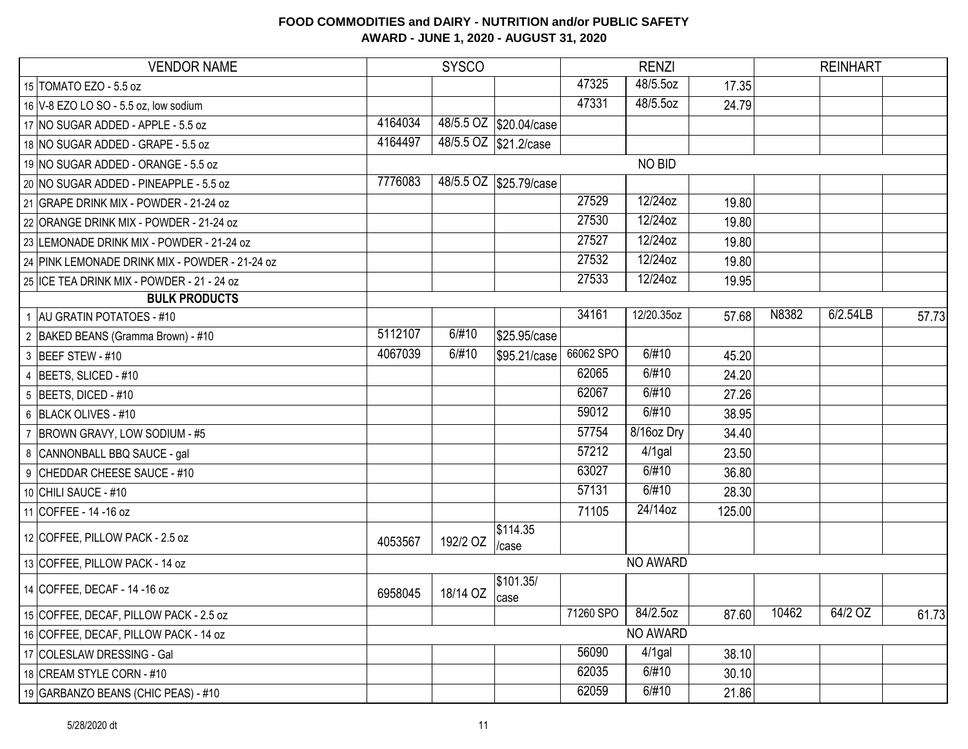| <b>VENDOR NAME</b>                             |         | <b>SYSCO</b> |                        |           | <b>RENZI</b> |        |       | <b>REINHART</b> |       |
|------------------------------------------------|---------|--------------|------------------------|-----------|--------------|--------|-------|-----------------|-------|
| 15 TOMATO EZO - 5.5 oz                         |         |              |                        | 47325     | 48/5.5oz     | 17.35  |       |                 |       |
| 16 V-8 EZO LO SO - 5.5 oz, low sodium          |         |              |                        | 47331     | 48/5.5oz     | 24.79  |       |                 |       |
| 17 NO SUGAR ADDED - APPLE - 5.5 oz             | 4164034 |              | 48/5.5 OZ \$20.04/case |           |              |        |       |                 |       |
| 18 NO SUGAR ADDED - GRAPE - 5.5 oz             | 4164497 |              | 48/5.5 OZ \$21.2/case  |           |              |        |       |                 |       |
| 19 NO SUGAR ADDED - ORANGE - 5.5 oz            |         |              |                        |           | NO BID       |        |       |                 |       |
| 20 NO SUGAR ADDED - PINEAPPLE - 5.5 oz         | 7776083 |              | 48/5.5 OZ \$25.79/case |           |              |        |       |                 |       |
| 21 GRAPE DRINK MIX - POWDER - 21-24 oz         |         |              |                        | 27529     | 12/24oz      | 19.80  |       |                 |       |
| 22 ORANGE DRINK MIX - POWDER - 21-24 oz        |         |              |                        | 27530     | 12/24oz      | 19.80  |       |                 |       |
| 23 LEMONADE DRINK MIX - POWDER - 21-24 oz      |         |              |                        | 27527     | 12/24oz      | 19.80  |       |                 |       |
| 24 PINK LEMONADE DRINK MIX - POWDER - 21-24 oz |         |              |                        | 27532     | 12/24oz      | 19.80  |       |                 |       |
| 25 ICE TEA DRINK MIX - POWDER - 21 - 24 oz     |         |              |                        | 27533     | 12/24oz      | 19.95  |       |                 |       |
| <b>BULK PRODUCTS</b>                           |         |              |                        |           |              |        |       |                 |       |
| 1 AU GRATIN POTATOES - #10                     |         |              |                        | 34161     | 12/20.35oz   | 57.68  | N8382 | 6/2.54LB        | 57.73 |
| 2 BAKED BEANS (Gramma Brown) - #10             | 5112107 | 6/#10        | \$25.95/case           |           |              |        |       |                 |       |
| 3 BEEF STEW - #10                              | 4067039 | 6/#10        | \$95.21/case           | 66062 SPO | 6/#10        | 45.20  |       |                 |       |
| 4 BEETS, SLICED - #10                          |         |              |                        | 62065     | 6/#10        | 24.20  |       |                 |       |
| $5$ BEETS, DICED - #10                         |         |              |                        | 62067     | 6/#10        | 27.26  |       |                 |       |
| 6 BLACK OLIVES - #10                           |         |              |                        | 59012     | 6/#10        | 38.95  |       |                 |       |
| 7 BROWN GRAVY, LOW SODIUM - #5                 |         |              |                        | 57754     | 8/16oz Dry   | 34.40  |       |                 |       |
| 8 CANNONBALL BBQ SAUCE - gal                   |         |              |                        | 57212     | $4/1$ gal    | 23.50  |       |                 |       |
| 9 CHEDDAR CHEESE SAUCE - #10                   |         |              |                        | 63027     | 6/#10        | 36.80  |       |                 |       |
| 10 CHILI SAUCE - #10                           |         |              |                        | 57131     | 6/#10        | 28.30  |       |                 |       |
| 11 COFFEE - 14 - 16 oz                         |         |              |                        | 71105     | 24/14oz      | 125.00 |       |                 |       |
| 12 COFFEE, PILLOW PACK - 2.5 oz                | 4053567 | 192/2 OZ     | \$114.35<br>/case      |           |              |        |       |                 |       |
| 13 COFFEE, PILLOW PACK - 14 oz                 |         |              |                        |           | NO AWARD     |        |       |                 |       |
| 14 COFFEE, DECAF - 14 -16 oz                   | 6958045 | 18/14 OZ     | \$101.35/<br>case      |           |              |        |       |                 |       |
| 15 COFFEE, DECAF, PILLOW PACK - 2.5 oz         |         |              |                        | 71260 SPO | 84/2.5oz     | 87.60  | 10462 | 64/2 OZ         | 61.73 |
| 16 COFFEE, DECAF, PILLOW PACK - 14 oz          |         |              |                        |           | NO AWARD     |        |       |                 |       |
| 17 COLESLAW DRESSING - Gal                     |         |              |                        | 56090     | $4/1$ gal    | 38.10  |       |                 |       |
| 18 CREAM STYLE CORN - #10                      |         |              |                        | 62035     | 6/#10        | 30.10  |       |                 |       |
| 19 GARBANZO BEANS (CHIC PEAS) - #10            |         |              |                        | 62059     | 6/#10        | 21.86  |       |                 |       |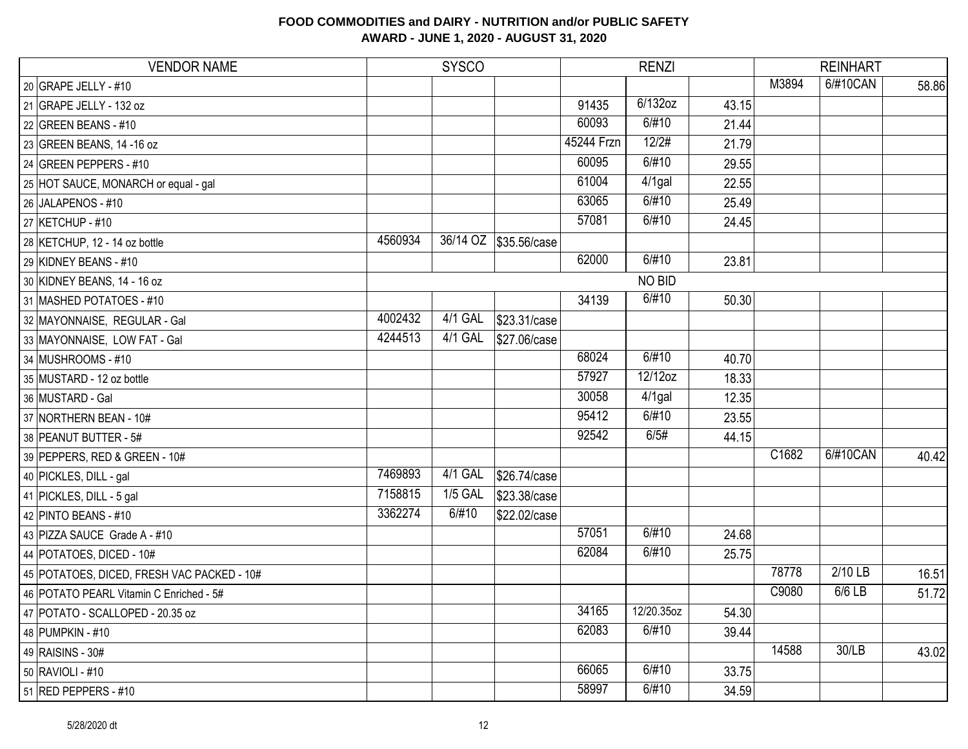| <b>VENDOR NAME</b>                         |         | <b>SYSCO</b> |                       |            | <b>RENZI</b> |       |       | <b>REINHART</b> |       |
|--------------------------------------------|---------|--------------|-----------------------|------------|--------------|-------|-------|-----------------|-------|
| 20 GRAPE JELLY - #10                       |         |              |                       |            |              |       | M3894 | 6/#10CAN        | 58.86 |
| 21 GRAPE JELLY - 132 oz                    |         |              |                       | 91435      | 6/132oz      | 43.15 |       |                 |       |
| 22 GREEN BEANS - #10                       |         |              |                       | 60093      | 6/#10        | 21.44 |       |                 |       |
| 23 GREEN BEANS, 14 -16 oz                  |         |              |                       | 45244 Frzn | 12/2#        | 21.79 |       |                 |       |
| 24 GREEN PEPPERS - #10                     |         |              |                       | 60095      | 6/#10        | 29.55 |       |                 |       |
| 25 HOT SAUCE, MONARCH or equal - gal       |         |              |                       | 61004      | 4/1gal       | 22.55 |       |                 |       |
| 26 JALAPENOS - #10                         |         |              |                       | 63065      | 6/#10        | 25.49 |       |                 |       |
| 27 KETCHUP - #10                           |         |              |                       | 57081      | 6/#10        | 24.45 |       |                 |       |
| 28 KETCHUP, 12 - 14 oz bottle              | 4560934 |              | 36/14 OZ \$35.56/case |            |              |       |       |                 |       |
| 29 KIDNEY BEANS - #10                      |         |              |                       | 62000      | 6/#10        | 23.81 |       |                 |       |
| 30 KIDNEY BEANS, 14 - 16 oz                |         |              |                       |            | NO BID       |       |       |                 |       |
| 31 MASHED POTATOES - #10                   |         |              |                       | 34139      | 6/#10        | 50.30 |       |                 |       |
| 32 MAYONNAISE, REGULAR - Gal               | 4002432 | 4/1 GAL      | \$23.31/case          |            |              |       |       |                 |       |
| 33 MAYONNAISE, LOW FAT - Gal               | 4244513 | $4/1$ GAL    | \$27.06/case          |            |              |       |       |                 |       |
| 34 MUSHROOMS - #10                         |         |              |                       | 68024      | 6/#10        | 40.70 |       |                 |       |
| 35 MUSTARD - 12 oz bottle                  |         |              |                       | 57927      | 12/12oz      | 18.33 |       |                 |       |
| 36 MUSTARD - Gal                           |         |              |                       | 30058      | 4/1gal       | 12.35 |       |                 |       |
| 37 NORTHERN BEAN - 10#                     |         |              |                       | 95412      | 6/#10        | 23.55 |       |                 |       |
| 38 PEANUT BUTTER - 5#                      |         |              |                       | 92542      | 6/5#         | 44.15 |       |                 |       |
| 39 PEPPERS, RED & GREEN - 10#              |         |              |                       |            |              |       | C1682 | 6/#10CAN        | 40.42 |
| 40 PICKLES, DILL - gal                     | 7469893 | 4/1 GAL      | \$26.74/case          |            |              |       |       |                 |       |
| 41 PICKLES, DILL - 5 gal                   | 7158815 | $1/5$ GAL    | \$23.38/case          |            |              |       |       |                 |       |
| 42 PINTO BEANS - #10                       | 3362274 | 6/#10        | \$22.02/case          |            |              |       |       |                 |       |
| 43 PIZZA SAUCE Grade A - #10               |         |              |                       | 57051      | 6/#10        | 24.68 |       |                 |       |
| 44 POTATOES, DICED - 10#                   |         |              |                       | 62084      | 6/#10        | 25.75 |       |                 |       |
| 45 POTATOES, DICED, FRESH VAC PACKED - 10# |         |              |                       |            |              |       | 78778 | $2/10$ LB       | 16.51 |
| 46 POTATO PEARL Vitamin C Enriched - 5#    |         |              |                       |            |              |       | C9080 | 6/6 LB          | 51.72 |
| 47 POTATO - SCALLOPED - 20.35 oz           |         |              |                       | 34165      | 12/20.35oz   | 54.30 |       |                 |       |
| 48 PUMPKIN - #10                           |         |              |                       | 62083      | 6/#10        | 39.44 |       |                 |       |
| 49 RAISINS - 30#                           |         |              |                       |            |              |       | 14588 | 30/LB           | 43.02 |
| 50 RAVIOLI - #10                           |         |              |                       | 66065      | 6/#10        | 33.75 |       |                 |       |
| 51 RED PEPPERS - #10                       |         |              |                       | 58997      | 6/#10        | 34.59 |       |                 |       |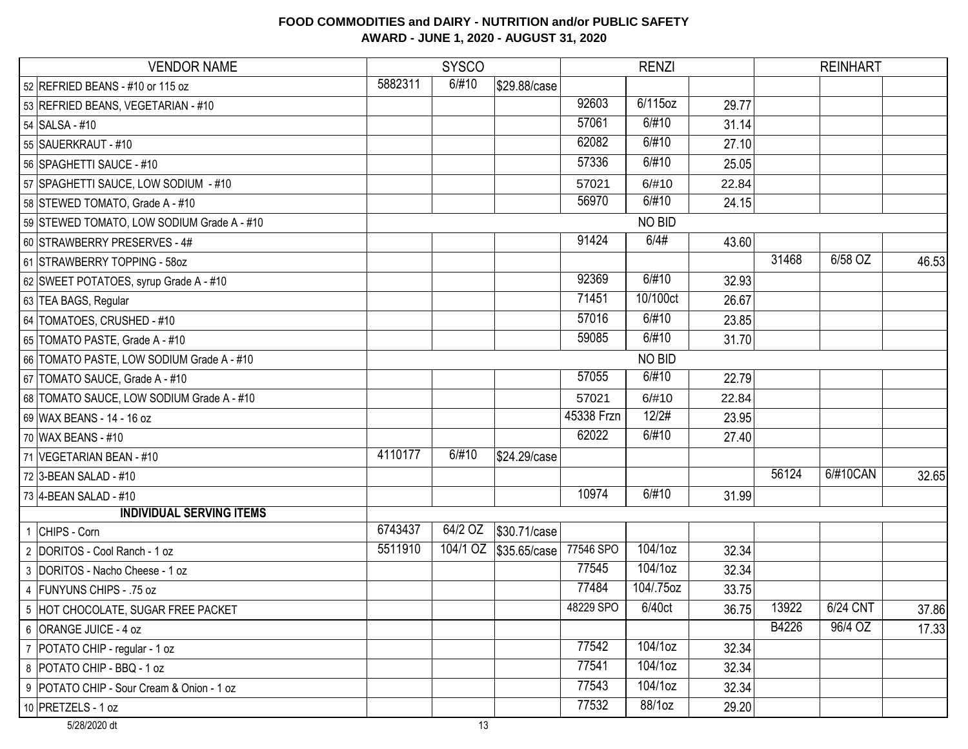# VENDOR NAME SYSCO RENZI REINHART 52 REFRIED BEANS - #10 or 115 oz 5882311 5882311 5882311 5882311 58. 5882311 58. 589 Case 53 REFRIED BEANS, VEGETARIAN - #10 92603 | 6/115oz | 92603 | 6/115oz | 29.77 54 SALSA - #10 57061 6/#10 31.14 55 SAUERKRAUT - #10 62082 6/#10 27.10 56 SPAGHETTI SAUCE - #10 57336 6/#10 25.05 57 SPAGHETTI SAUCE, LOW SODIUM - #10 57021 57021 57021 57021 57021 57021 57021 57021 57021 50. 410 57021 57021 58 STEWED TOMATO, Grade A - #10 **10 Second 10 COVID-SET COVID-SET COVID-S** 10 S6970 6/#10 24.15 59 STEWED TOMATO, LOW SODIUM Grade A - #10 60 STRAWBERRY PRESERVES - 4# 91424 6/4# 43.60 61 STRAWBERRY TOPPING - 58oz 31468 6/58 OZ 46.53 62 SWEET POTATOES, syrup Grade A - #10 92369 | 6/#10 32.93 63 TEA BAGS, Regular 71451 10/100ct 26.67 64 TOMATOES, CRUSHED - #10 6/23.85 65 TOMATO PASTE, Grade A - #10 **120 ASS 2006 120 ASS 2006 120 ASS 2006** 120 ASS 31.70 66 TOMATO PASTE, LOW SODIUM Grade A - #10 67 TOMATO SAUCE, Grade A - #10 57055 6/#10 22.79 68 TOMATO SAUCE, LOW SODIUM Grade A - #10 57021 57021 57021 57021 57021 57021 57021 56/#10 69 WAX BEANS - 14 - 16 oz 45338 Frzn 12/2# 23.95 70 WAX BEANS - #10 62022 6/#10 27.40 71 VEGETARIAN BEAN - #10 4110177 6/#10 \$24.29/case 72 3-BEAN SALAD - #10 56124 6/#10CAN 32.65 73 4-BEAN SALAD - #10 10974 | 6/#10 31.99 1 CHIPS - Corn 6743437 64/2 OZ \$30.71/case 2 DORITOS - Cool Ranch - 1 oz 6511910 104/1 OZ \$35.65/case 77546 SPO 104/1oz 32.34 3 DORITOS - Nacho Cheese - 1 oz 77545 104/1oz 32.34 4 FUNYUNS CHIPS - .75 oz 75 pm  $\frac{1}{2}$  ,  $\frac{1}{2}$  ,  $\frac{1}{2}$  ,  $\frac{1}{2}$  ,  $\frac{1}{2}$  ,  $\frac{1}{2}$  ,  $\frac{1}{2}$  ,  $\frac{1}{2}$  ,  $\frac{1}{2}$  ,  $\frac{1}{2}$  ,  $\frac{1}{2}$  ,  $\frac{1}{2}$  ,  $\frac{1}{2}$  ,  $\frac{1}{2}$  ,  $\frac{1}{2}$  ,  $\frac{1}{2}$  , 5 HOT CHOCOLATE, SUGAR FREE PACKET **13928** SPO 6/40ct 36.75 13922 6/24 CNT 37.86 6 ORANGE JUICE - 4 oz B4226 96/4 OZ 17.33 7 POTATO CHIP - regular - 1 oz 32.34 8 POTATO CHIP - BBQ - 1 oz 32.34 9 POTATO CHIP - Sour Cream & Onion - 1 oz 77543 104/1oz 32.34 10 PRETZELS - 1 oz 29.20 NO BID NO BID **INDIVIDUAL SERVING ITEMS**

### **FOOD COMMODITIES and DAIRY - NUTRITION and/or PUBLIC SAFETY AWARD - JUNE 1, 2020 - AUGUST 31, 2020**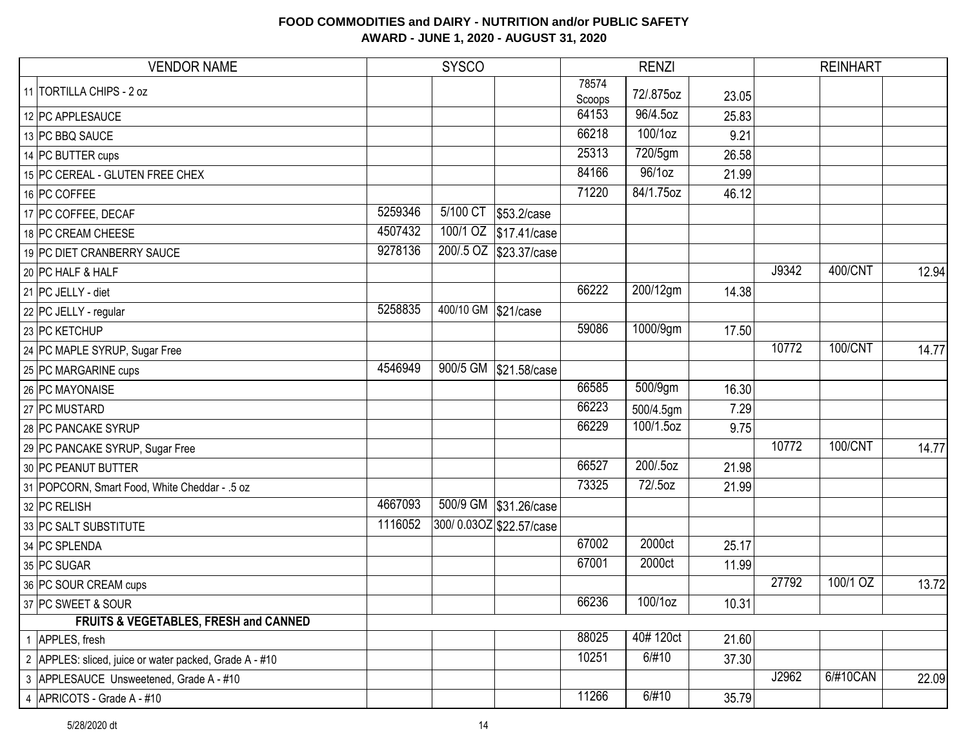| <b>VENDOR NAME</b> |                                                        | <b>SYSCO</b> |                     |                         | <b>RENZI</b>    |           |       | <b>REINHART</b> |          |       |
|--------------------|--------------------------------------------------------|--------------|---------------------|-------------------------|-----------------|-----------|-------|-----------------|----------|-------|
|                    | 11 TORTILLA CHIPS - 2 oz                               |              |                     |                         | 78574<br>Scoops | 72/.875oz | 23.05 |                 |          |       |
|                    | 12 PC APPLESAUCE                                       |              |                     |                         | 64153           | 96/4.5oz  | 25.83 |                 |          |       |
|                    | 13 PC BBQ SAUCE                                        |              |                     |                         | 66218           | 100/1oz   | 9.21  |                 |          |       |
|                    | 14 PC BUTTER cups                                      |              |                     |                         | 25313           | 720/5gm   | 26.58 |                 |          |       |
|                    | 15 PC CEREAL - GLUTEN FREE CHEX                        |              |                     |                         | 84166           | 96/1oz    | 21.99 |                 |          |       |
|                    | 16 PC COFFEE                                           |              |                     |                         | 71220           | 84/1.75oz | 46.12 |                 |          |       |
|                    | 17 PC COFFEE, DECAF                                    | 5259346      |                     | 5/100 CT \$53.2/case    |                 |           |       |                 |          |       |
|                    | 18 PC CREAM CHEESE                                     | 4507432      |                     | 100/1 OZ \$17.41/case   |                 |           |       |                 |          |       |
|                    | 19 PC DIET CRANBERRY SAUCE                             | 9278136      |                     | 200/.5 OZ \$23.37/case  |                 |           |       |                 |          |       |
|                    | 20 PC HALF & HALF                                      |              |                     |                         |                 |           |       | J9342           | 400/CNT  | 12.94 |
|                    | 21 PC JELLY - diet                                     |              |                     |                         | 66222           | 200/12gm  | 14.38 |                 |          |       |
|                    | 22 PC JELLY - regular                                  | 5258835      | 400/10 GM \$21/case |                         |                 |           |       |                 |          |       |
|                    | 23 PC KETCHUP                                          |              |                     |                         | 59086           | 1000/9gm  | 17.50 |                 |          |       |
|                    | 24 PC MAPLE SYRUP, Sugar Free                          |              |                     |                         |                 |           |       | 10772           | 100/CNT  | 14.77 |
|                    | 25 PC MARGARINE cups                                   | 4546949      |                     | 900/5 GM \$21.58/case   |                 |           |       |                 |          |       |
|                    | 26 PC MAYONAISE                                        |              |                     |                         | 66585           | 500/9gm   | 16.30 |                 |          |       |
|                    | 27 PC MUSTARD                                          |              |                     |                         | 66223           | 500/4.5gm | 7.29  |                 |          |       |
|                    | 28 PC PANCAKE SYRUP                                    |              |                     |                         | 66229           | 100/1.5oz | 9.75  |                 |          |       |
|                    | 29 PC PANCAKE SYRUP, Sugar Free                        |              |                     |                         |                 |           |       | 10772           | 100/CNT  | 14.77 |
|                    | 30 PC PEANUT BUTTER                                    |              |                     |                         | 66527           | 200/.5oz  | 21.98 |                 |          |       |
|                    | 31 POPCORN, Smart Food, White Cheddar - .5 oz          |              |                     |                         | 73325           | 72/.5oz   | 21.99 |                 |          |       |
|                    | 32 PC RELISH                                           | 4667093      |                     | 500/9 GM \$31.26/case   |                 |           |       |                 |          |       |
|                    | 33 PC SALT SUBSTITUTE                                  | 1116052      |                     | 300/0.03OZ \$22.57/case |                 |           |       |                 |          |       |
|                    | 34 PC SPLENDA                                          |              |                     |                         | 67002           | 2000ct    | 25.17 |                 |          |       |
|                    | 35 PC SUGAR                                            |              |                     |                         | 67001           | 2000ct    | 11.99 |                 |          |       |
|                    | 36 PC SOUR CREAM cups                                  |              |                     |                         |                 |           |       | 27792           | 100/1 OZ | 13.72 |
|                    | 37 PC SWEET & SOUR                                     |              |                     |                         | 66236           | 100/1oz   | 10.31 |                 |          |       |
|                    | FRUITS & VEGETABLES, FRESH and CANNED                  |              |                     |                         |                 |           |       |                 |          |       |
|                    | 1 APPLES, fresh                                        |              |                     |                         | 88025           | 40#120ct  | 21.60 |                 |          |       |
|                    | 2 APPLES: sliced, juice or water packed, Grade A - #10 |              |                     |                         | 10251           | 6/#10     | 37.30 |                 |          |       |
|                    | 3 APPLESAUCE Unsweetened, Grade A - #10                |              |                     |                         |                 |           |       | J2962           | 6/#10CAN | 22.09 |
|                    | 4 APRICOTS - Grade A - #10                             |              |                     |                         | 11266           | 6/#10     | 35.79 |                 |          |       |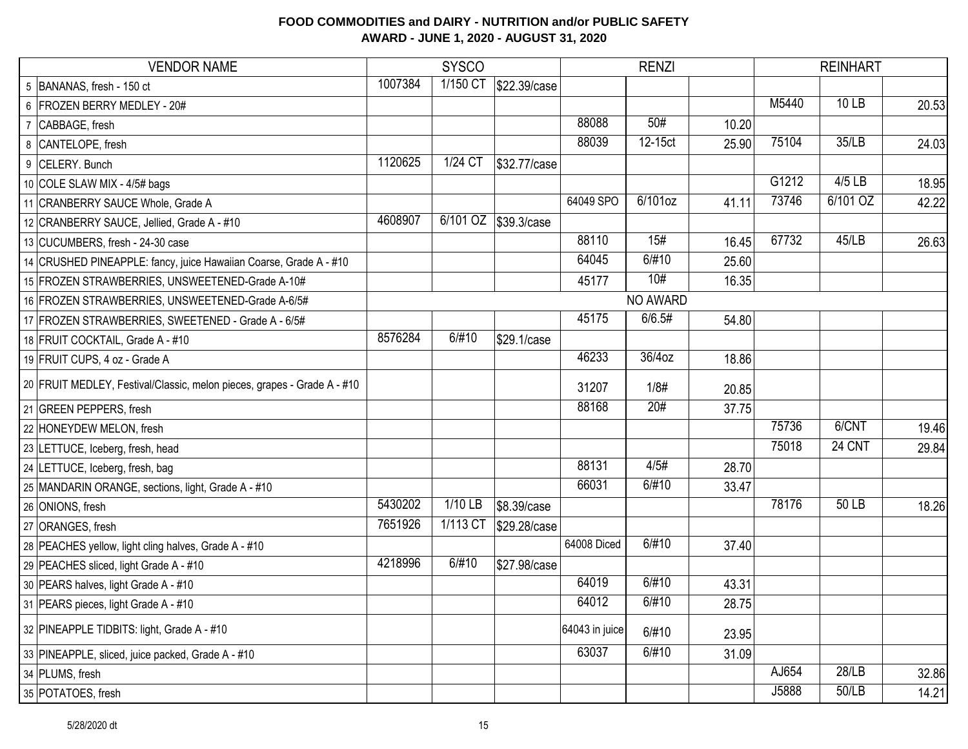| <b>VENDOR NAME</b>                                                      |         | <b>SYSCO</b> |              | <b>RENZI</b>   |          |       | <b>REINHART</b> |          |       |
|-------------------------------------------------------------------------|---------|--------------|--------------|----------------|----------|-------|-----------------|----------|-------|
| 5 BANANAS, fresh - 150 ct                                               | 1007384 | 1/150 CT     | \$22.39/case |                |          |       |                 |          |       |
| 6 FROZEN BERRY MEDLEY - 20#                                             |         |              |              |                |          |       | M5440           | 10 LB    | 20.53 |
| 7 CABBAGE, fresh                                                        |         |              |              | 88088          | 50#      | 10.20 |                 |          |       |
| 8 CANTELOPE, fresh                                                      |         |              |              | 88039          | 12-15ct  | 25.90 | 75104           | 35/LB    | 24.03 |
| 9 CELERY. Bunch                                                         | 1120625 | 1/24 CT      | \$32.77/case |                |          |       |                 |          |       |
| 10 COLE SLAW MIX - 4/5# bags                                            |         |              |              |                |          |       | G1212           | 4/5 LB   | 18.95 |
| 11 CRANBERRY SAUCE Whole, Grade A                                       |         |              |              | 64049 SPO      | 6/101oz  | 41.11 | 73746           | 6/101 OZ | 42.22 |
| 12 CRANBERRY SAUCE, Jellied, Grade A - #10                              | 4608907 | 6/101 OZ     | \$39.3/case  |                |          |       |                 |          |       |
| 13 CUCUMBERS, fresh - 24-30 case                                        |         |              |              | 88110          | 15#      | 16.45 | 67732           | 45/LB    | 26.63 |
| 14 CRUSHED PINEAPPLE: fancy, juice Hawaiian Coarse, Grade A - #10       |         |              |              | 64045          | 6/#10    | 25.60 |                 |          |       |
| 15 FROZEN STRAWBERRIES, UNSWEETENED-Grade A-10#                         |         |              |              | 45177          | 10#      | 16.35 |                 |          |       |
| 16 FROZEN STRAWBERRIES, UNSWEETENED-Grade A-6/5#                        |         |              |              |                | NO AWARD |       |                 |          |       |
| 17 FROZEN STRAWBERRIES, SWEETENED - Grade A - 6/5#                      |         |              |              | 45175          | 6/6.5#   | 54.80 |                 |          |       |
| 18 FRUIT COCKTAIL, Grade A - #10                                        | 8576284 | 6/#10        | \$29.1/case  |                |          |       |                 |          |       |
| 19 FRUIT CUPS, 4 oz - Grade A                                           |         |              |              | 46233          | 36/4oz   | 18.86 |                 |          |       |
| 20 FRUIT MEDLEY, Festival/Classic, melon pieces, grapes - Grade A - #10 |         |              |              | 31207          | 1/8#     | 20.85 |                 |          |       |
| 21 GREEN PEPPERS, fresh                                                 |         |              |              | 88168          | 20#      | 37.75 |                 |          |       |
| 22 HONEYDEW MELON, fresh                                                |         |              |              |                |          |       | 75736           | 6/CNT    | 19.46 |
| 23 LETTUCE, Iceberg, fresh, head                                        |         |              |              |                |          |       | 75018           | 24 CNT   | 29.84 |
| 24 LETTUCE, Iceberg, fresh, bag                                         |         |              |              | 88131          | 4/5#     | 28.70 |                 |          |       |
| 25 MANDARIN ORANGE, sections, light, Grade A - #10                      |         |              |              | 66031          | 6/#10    | 33.47 |                 |          |       |
| 26 ONIONS, fresh                                                        | 5430202 | 1/10 LB      | \$8.39/case  |                |          |       | 78176           | 50 LB    | 18.26 |
| 27 ORANGES, fresh                                                       | 7651926 | 1/113 CT     | \$29.28/case |                |          |       |                 |          |       |
| 28 PEACHES yellow, light cling halves, Grade A - #10                    |         |              |              | 64008 Diced    | 6/#10    | 37.40 |                 |          |       |
| 29 PEACHES sliced, light Grade A - #10                                  | 4218996 | 6/#10        | \$27.98/case |                |          |       |                 |          |       |
| 30 PEARS halves, light Grade A - #10                                    |         |              |              | 64019          | 6/#10    | 43.31 |                 |          |       |
| 31 PEARS pieces, light Grade A - #10                                    |         |              |              | 64012          | 6/#10    | 28.75 |                 |          |       |
| 32 PINEAPPLE TIDBITS: light, Grade A - #10                              |         |              |              | 64043 in juice | 6/#10    | 23.95 |                 |          |       |
| 33 PINEAPPLE, sliced, juice packed, Grade A - #10                       |         |              |              | 63037          | 6/#10    | 31.09 |                 |          |       |
| 34 PLUMS, fresh                                                         |         |              |              |                |          |       | AJ654           | 28/LB    | 32.86 |
| 35 POTATOES, fresh                                                      |         |              |              |                |          |       | J5888           | 50/LB    | 14.21 |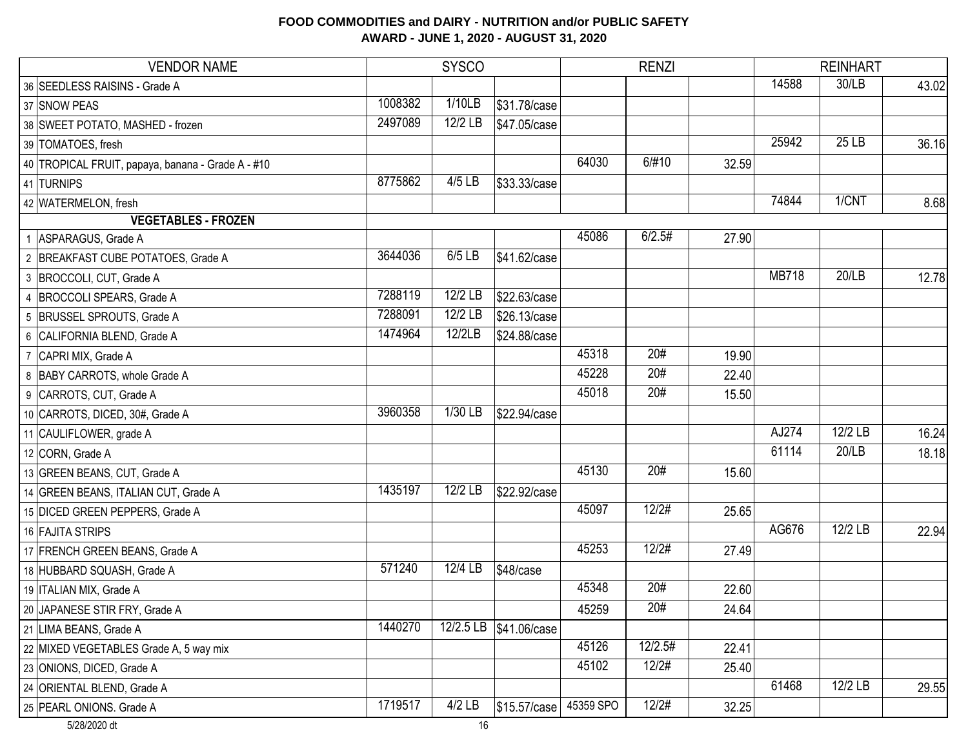| <b>VENDOR NAME</b>                                |         | <b>SYSCO</b> |              |           | <b>RENZI</b> |       |              | <b>REINHART</b>      |       |
|---------------------------------------------------|---------|--------------|--------------|-----------|--------------|-------|--------------|----------------------|-------|
| 36 SEEDLESS RAISINS - Grade A                     |         |              |              |           |              |       | 14588        | 30/LB                | 43.02 |
| 37 SNOW PEAS                                      | 1008382 | 1/10LB       | \$31.78/case |           |              |       |              |                      |       |
| 38 SWEET POTATO, MASHED - frozen                  | 2497089 | 12/2 LB      | \$47.05/case |           |              |       |              |                      |       |
| 39 TOMATOES, fresh                                |         |              |              |           |              |       | 25942        | 25 LB                | 36.16 |
| 40 TROPICAL FRUIT, papaya, banana - Grade A - #10 |         |              |              | 64030     | 6/#10        | 32.59 |              |                      |       |
| 41 TURNIPS                                        | 8775862 | 4/5 LB       | \$33.33/case |           |              |       |              |                      |       |
| 42 WATERMELON, fresh                              |         |              |              |           |              |       | 74844        | 1/CNT                | 8.68  |
| <b>VEGETABLES - FROZEN</b>                        |         |              |              |           |              |       |              |                      |       |
| 1 ASPARAGUS, Grade A                              |         |              |              | 45086     | 6/2.5#       | 27.90 |              |                      |       |
| 2 BREAKFAST CUBE POTATOES, Grade A                | 3644036 | 6/5 LB       | \$41.62/case |           |              |       |              |                      |       |
| 3 BROCCOLI, CUT, Grade A                          |         |              |              |           |              |       | <b>MB718</b> | 20/LB                | 12.78 |
| 4 BROCCOLI SPEARS, Grade A                        | 7288119 | 12/2 LB      | \$22.63/case |           |              |       |              |                      |       |
| 5 BRUSSEL SPROUTS, Grade A                        | 7288091 | 12/2 LB      | \$26.13/case |           |              |       |              |                      |       |
| 6 CALIFORNIA BLEND, Grade A                       | 1474964 | 12/2LB       | \$24.88/case |           |              |       |              |                      |       |
| 7 CAPRI MIX, Grade A                              |         |              |              | 45318     | 20#          | 19.90 |              |                      |       |
| 8 BABY CARROTS, whole Grade A                     |         |              |              | 45228     | 20#          | 22.40 |              |                      |       |
| 9 CARROTS, CUT, Grade A                           |         |              |              | 45018     | 20#          | 15.50 |              |                      |       |
| 10 CARROTS, DICED, 30#, Grade A                   | 3960358 | 1/30 LB      | \$22.94/case |           |              |       |              |                      |       |
| 11 CAULIFLOWER, grade A                           |         |              |              |           |              |       | AJ274        | $\overline{12/2}$ LB | 16.24 |
| 12 CORN, Grade A                                  |         |              |              |           |              |       | 61114        | 20/LB                | 18.18 |
| 13 GREEN BEANS, CUT, Grade A                      |         |              |              | 45130     | 20#          | 15.60 |              |                      |       |
| 14 GREEN BEANS, ITALIAN CUT, Grade A              | 1435197 | 12/2 LB      | \$22.92/case |           |              |       |              |                      |       |
| 15 DICED GREEN PEPPERS, Grade A                   |         |              |              | 45097     | 12/2#        | 25.65 |              |                      |       |
| 16 FAJITA STRIPS                                  |         |              |              |           |              |       | AG676        | 12/2 LB              | 22.94 |
| 17 FRENCH GREEN BEANS, Grade A                    |         |              |              | 45253     | 12/2#        | 27.49 |              |                      |       |
| 18 HUBBARD SQUASH, Grade A                        | 571240  | 12/4 LB      | \$48/case    |           |              |       |              |                      |       |
| 19 ITALIAN MIX, Grade A                           |         |              |              | 45348     | 20#          | 22.60 |              |                      |       |
| 20 JAPANESE STIR FRY, Grade A                     |         |              |              | 45259     | 20#          | 24.64 |              |                      |       |
| 21 LIMA BEANS, Grade A                            | 1440270 | 12/2.5 LB    | \$41.06/case |           |              |       |              |                      |       |
| 22 MIXED VEGETABLES Grade A, 5 way mix            |         |              |              | 45126     | 12/2.5#      | 22.41 |              |                      |       |
| 23 ONIONS, DICED, Grade A                         |         |              |              | 45102     | 12/2#        | 25.40 |              |                      |       |
| 24 ORIENTAL BLEND, Grade A                        |         |              |              |           |              |       | 61468        | 12/2 LB              | 29.55 |
| 25 PEARL ONIONS. Grade A                          | 1719517 | $4/2$ LB     | \$15.57/case | 45359 SPO | 12/2#        | 32.25 |              |                      |       |
| 5/28/2020 dt                                      |         | 16           |              |           |              |       |              |                      |       |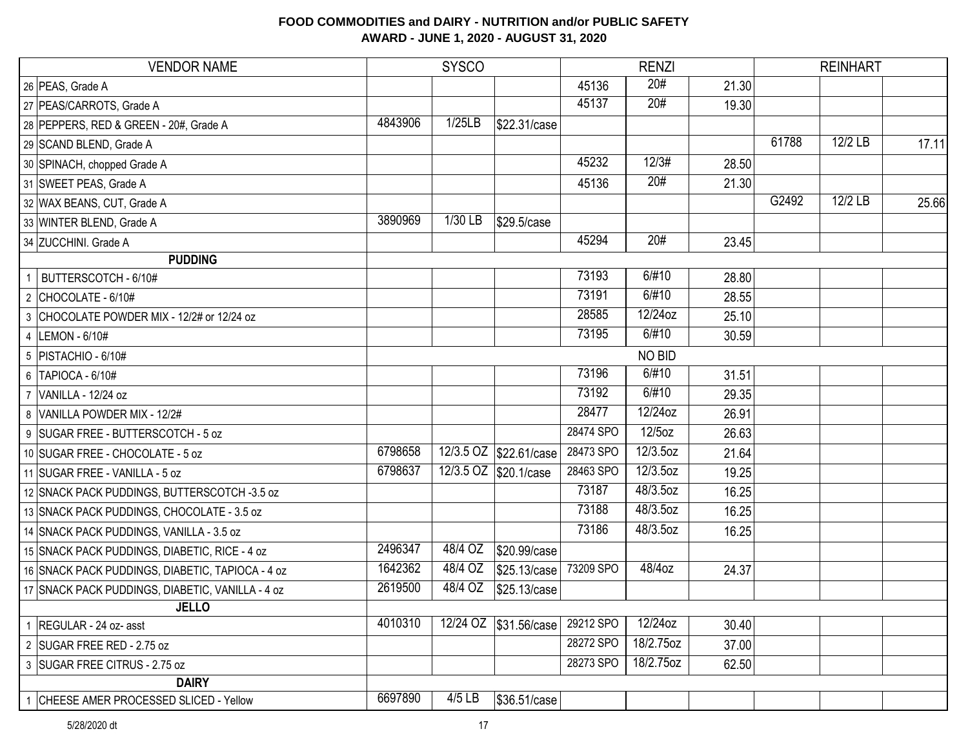|                | <b>VENDOR NAME</b>                               | <b>SYSCO</b> |          | <b>RENZI</b>           |           |           | <b>REINHART</b> |       |         |       |
|----------------|--------------------------------------------------|--------------|----------|------------------------|-----------|-----------|-----------------|-------|---------|-------|
|                | 26 PEAS, Grade A                                 |              |          |                        | 45136     | 20#       | 21.30           |       |         |       |
|                | 27 PEAS/CARROTS, Grade A                         |              |          |                        | 45137     | 20#       | 19.30           |       |         |       |
|                | 28 PEPPERS, RED & GREEN - 20#, Grade A           | 4843906      | 1/25LB   | \$22.31/case           |           |           |                 |       |         |       |
|                | 29 SCAND BLEND, Grade A                          |              |          |                        |           |           |                 | 61788 | 12/2 LB | 17.11 |
|                | 30 SPINACH, chopped Grade A                      |              |          |                        | 45232     | 12/3#     | 28.50           |       |         |       |
|                | 31 SWEET PEAS, Grade A                           |              |          |                        | 45136     | 20#       | 21.30           |       |         |       |
|                | 32 WAX BEANS, CUT, Grade A                       |              |          |                        |           |           |                 | G2492 | 12/2 LB | 25.66 |
|                | 33 WINTER BLEND, Grade A                         | 3890969      | 1/30 LB  | \$29.5/case            |           |           |                 |       |         |       |
|                | 34 ZUCCHINI. Grade A                             |              |          |                        | 45294     | 20#       | 23.45           |       |         |       |
|                | <b>PUDDING</b>                                   |              |          |                        |           |           |                 |       |         |       |
| $\overline{1}$ | BUTTERSCOTCH - 6/10#                             |              |          |                        | 73193     | 6/#10     | 28.80           |       |         |       |
|                | 2 CHOCOLATE - 6/10#                              |              |          |                        | 73191     | 6/#10     | 28.55           |       |         |       |
|                | 3 CHOCOLATE POWDER MIX - 12/2# or 12/24 oz       |              |          |                        | 28585     | 12/24oz   | 25.10           |       |         |       |
|                | 4  LEMON - 6/10#                                 |              |          |                        | 73195     | 6/#10     | 30.59           |       |         |       |
|                | $5$ PISTACHIO - 6/10#                            |              |          |                        |           | NO BID    |                 |       |         |       |
|                | 6 TAPIOCA - 6/10#                                |              |          |                        | 73196     | 6/#10     | 31.51           |       |         |       |
|                | 7 VANILLA - 12/24 oz                             |              |          |                        | 73192     | 6/#10     | 29.35           |       |         |       |
|                | 8 VANILLA POWDER MIX - 12/2#                     |              |          |                        | 28477     | 12/24oz   | 26.91           |       |         |       |
|                | 9 SUGAR FREE - BUTTERSCOTCH - 5 oz               |              |          |                        | 28474 SPO | 12/5oz    | 26.63           |       |         |       |
|                | 10 SUGAR FREE - CHOCOLATE - 5 oz                 | 6798658      |          | 12/3.5 OZ \$22.61/case | 28473 SPO | 12/3.5oz  | 21.64           |       |         |       |
|                | 11 SUGAR FREE - VANILLA - 5 oz                   | 6798637      |          | 12/3.5 OZ \$20.1/case  | 28463 SPO | 12/3.5oz  | 19.25           |       |         |       |
|                | 12 SNACK PACK PUDDINGS, BUTTERSCOTCH -3.5 oz     |              |          |                        | 73187     | 48/3.5oz  | 16.25           |       |         |       |
|                | 13 SNACK PACK PUDDINGS, CHOCOLATE - 3.5 oz       |              |          |                        | 73188     | 48/3.5oz  | 16.25           |       |         |       |
|                | 14 SNACK PACK PUDDINGS, VANILLA - 3.5 oz         |              |          |                        | 73186     | 48/3.5oz  | 16.25           |       |         |       |
|                | 15 SNACK PACK PUDDINGS, DIABETIC, RICE - 4 oz    | 2496347      | 48/4 OZ  | \$20.99/case           |           |           |                 |       |         |       |
|                | 16 SNACK PACK PUDDINGS, DIABETIC, TAPIOCA - 4 oz | 1642362      | 48/4 OZ  | \$25.13/case           | 73209 SPO | 48/4oz    | 24.37           |       |         |       |
|                | 17 SNACK PACK PUDDINGS, DIABETIC, VANILLA - 4 oz | 2619500      | 48/4 OZ  | \$25.13/case           |           |           |                 |       |         |       |
|                | <b>JELLO</b>                                     |              |          |                        |           |           |                 |       |         |       |
|                | 1   REGULAR - 24 oz- asst                        | 4010310      | 12/24 OZ | \$31.56/case           | 29212 SPO | 12/24oz   | 30.40           |       |         |       |
|                | 2 SUGAR FREE RED - 2.75 oz                       |              |          |                        | 28272 SPO | 18/2.75oz | 37.00           |       |         |       |
|                | 3 SUGAR FREE CITRUS - 2.75 oz                    |              |          |                        | 28273 SPO | 18/2.75oz | 62.50           |       |         |       |
|                | <b>DAIRY</b>                                     |              |          |                        |           |           |                 |       |         |       |
|                | CHEESE AMER PROCESSED SLICED - Yellow            | 6697890      | 4/5 LB   | \$36.51/case           |           |           |                 |       |         |       |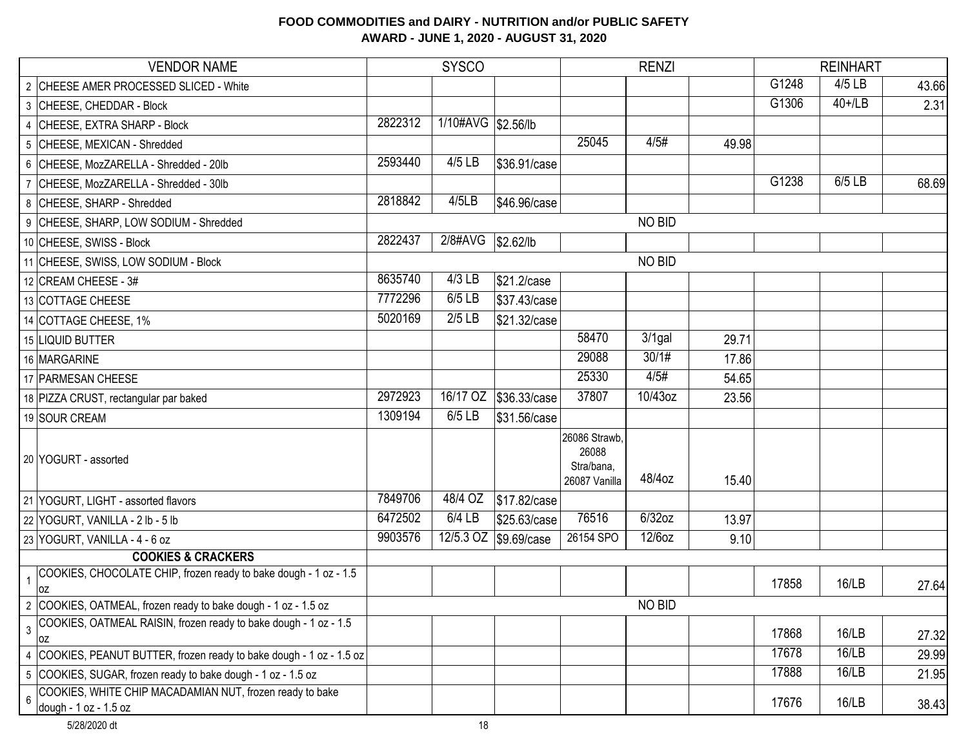| <b>VENDOR NAME</b>                                                                                   | <b>SYSCO</b> |                     | <b>RENZI</b>          |                                                       |               | <b>REINHART</b> |       |           |       |
|------------------------------------------------------------------------------------------------------|--------------|---------------------|-----------------------|-------------------------------------------------------|---------------|-----------------|-------|-----------|-------|
| 2 CHEESE AMER PROCESSED SLICED - White                                                               |              |                     |                       |                                                       |               |                 | G1248 | 4/5 LB    | 43.66 |
| 3 CHEESE, CHEDDAR - Block                                                                            |              |                     |                       |                                                       |               |                 | G1306 | $40+1$ LB | 2.31  |
| 4 CHEESE, EXTRA SHARP - Block                                                                        | 2822312      | 1/10#AVG \\$2.56/lb |                       |                                                       |               |                 |       |           |       |
| 5 CHEESE, MEXICAN - Shredded                                                                         |              |                     |                       | 25045                                                 | 4/5#          | 49.98           |       |           |       |
| 6 CHEESE, MozZARELLA - Shredded - 20lb                                                               | 2593440      | 4/5 LB              | \$36.91/case          |                                                       |               |                 |       |           |       |
| 7 CHEESE, MozZARELLA - Shredded - 30lb                                                               |              |                     |                       |                                                       |               |                 | G1238 | 6/5 LB    | 68.69 |
| 8 CHEESE, SHARP - Shredded                                                                           | 2818842      | 4/5LB               | \$46.96/case          |                                                       |               |                 |       |           |       |
| 9 CHEESE, SHARP, LOW SODIUM - Shredded                                                               |              |                     |                       |                                                       | NO BID        |                 |       |           |       |
| 10 CHEESE, SWISS - Block                                                                             | 2822437      | 2/8#AVG             | \$2.62/lb             |                                                       |               |                 |       |           |       |
| 11 CHEESE, SWISS, LOW SODIUM - Block                                                                 |              |                     |                       |                                                       | <b>NO BID</b> |                 |       |           |       |
| 12 CREAM CHEESE - 3#                                                                                 | 8635740      | $4/3$ LB            | \$21.2/case           |                                                       |               |                 |       |           |       |
| 13 COTTAGE CHEESE                                                                                    | 7772296      | 6/5 LB              | \$37.43/case          |                                                       |               |                 |       |           |       |
| 14 COTTAGE CHEESE, 1%                                                                                | 5020169      | $2/5$ LB            | \$21.32/case          |                                                       |               |                 |       |           |       |
| 15 LIQUID BUTTER                                                                                     |              |                     |                       | 58470                                                 | $3/1$ gal     | 29.71           |       |           |       |
| 16 MARGARINE                                                                                         |              |                     |                       | 29088                                                 | 30/1#         | 17.86           |       |           |       |
| 17 PARMESAN CHEESE                                                                                   |              |                     |                       | 25330                                                 | 4/5#          | 54.65           |       |           |       |
| 18 PIZZA CRUST, rectangular par baked                                                                | 2972923      | 16/17 OZ            | \$36.33/case          | 37807                                                 | 10/43oz       | 23.56           |       |           |       |
| 19 SOUR CREAM                                                                                        | 1309194      | 6/5 LB              | \$31.56/case          |                                                       |               |                 |       |           |       |
| 20 YOGURT - assorted                                                                                 |              |                     |                       | 26086 Strawb,<br>26088<br>Stra/bana,<br>26087 Vanilla | 48/4oz        | 15.40           |       |           |       |
| 21 YOGURT, LIGHT - assorted flavors                                                                  | 7849706      | 48/4 OZ             | \$17.82/case          |                                                       |               |                 |       |           |       |
| 22 YOGURT, VANILLA - 2 lb - 5 lb                                                                     | 6472502      | 6/4 LB              | \$25.63/case          | 76516                                                 | 6/32oz        | 13.97           |       |           |       |
| 23 YOGURT, VANILLA - 4 - 6 oz                                                                        | 9903576      |                     | 12/5.3 OZ \$9.69/case | 26154 SPO                                             | 12/6oz        | 9.10            |       |           |       |
| <b>COOKIES &amp; CRACKERS</b>                                                                        |              |                     |                       |                                                       |               |                 |       |           |       |
| COOKIES, CHOCOLATE CHIP, frozen ready to bake dough - 1 oz - 1.5<br>$\overline{1}$<br>OZ             |              |                     |                       |                                                       |               |                 | 17858 | 16/LB     | 27.64 |
| 2 COOKIES, OATMEAL, frozen ready to bake dough - 1 oz - 1.5 oz                                       |              |                     |                       |                                                       | NO BID        |                 |       |           |       |
| COOKIES, OATMEAL RAISIN, frozen ready to bake dough - 1 oz - 1.5<br>$\overline{3}$<br>0Z             |              |                     |                       |                                                       |               |                 | 17868 | 16/LB     | 27.32 |
| 4 COOKIES, PEANUT BUTTER, frozen ready to bake dough - 1 oz - 1.5 oz                                 |              |                     |                       |                                                       |               |                 | 17678 | 16/LB     | 29.99 |
| 5 COOKIES, SUGAR, frozen ready to bake dough - 1 oz - 1.5 oz                                         |              |                     |                       |                                                       |               |                 | 17888 | 16/LB     | 21.95 |
| COOKIES, WHITE CHIP MACADAMIAN NUT, frozen ready to bake<br>$6\overline{6}$<br>dough - 1 oz - 1.5 oz |              |                     |                       |                                                       |               |                 | 17676 | 16/LB     | 38.43 |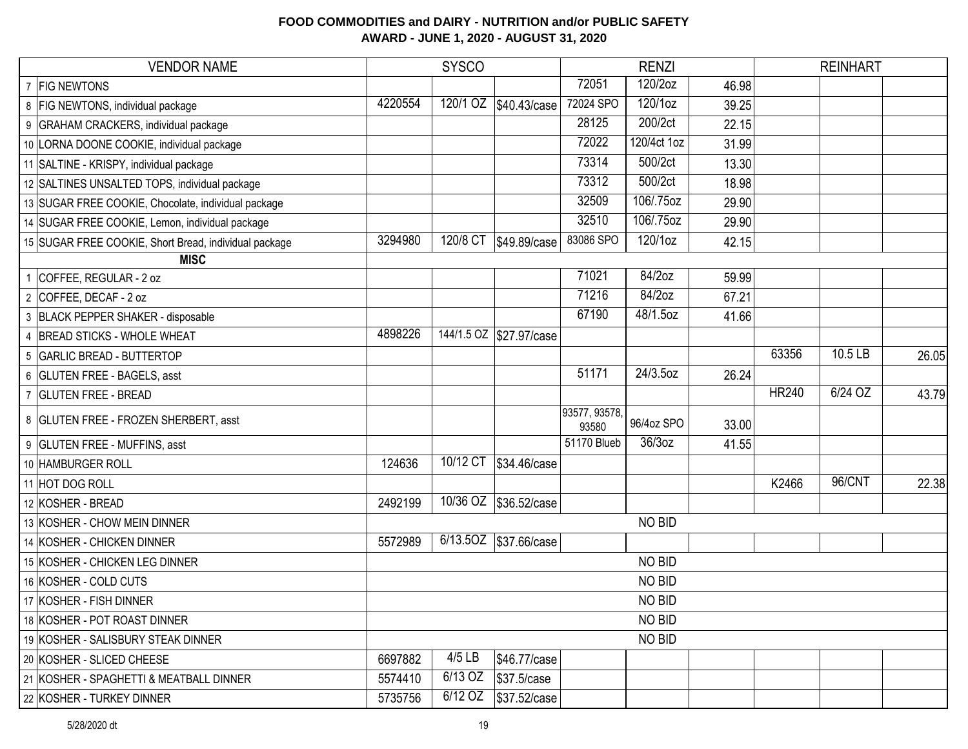# VENDOR NAME SYSCO RENZI REINHART 7 FIG NEWTONS 72051 120/2oz 46.98 8 FIG NEWTONS, individual package **4220554** 120/1 OZ \$40.43/case 72024 SPO 120/1oz 39.25 9 GRAHAM CRACKERS, individual package 22.15 10 LORNA DOONE COOKIE, individual package 72022 120/4ct 1oz 31.99 11 SALTINE - KRISPY, individual package 13.30 12 SALTINES UNSALTED TOPS, individual package **12 SALTINES UNSALTED TOPS**, individual package 18.98 13 SUGAR FREE COOKIE, Chocolate, individual package 32509 106/.75oz 29.90 14 SUGAR FREE COOKIE, Lemon, individual package 32510 106/.75oz 29.90 15 SUGAR FREE COOKIE, Short Bread, individual package 3294980 120/8 CT \$49.89/case 83086 SPO 120/1oz 42.15 1 COFFEE, REGULAR - 2 oz 71021 84/2oz 59.99 2 COFFEE, DECAF - 2 oz 67.21 3 BLACK PEPPER SHAKER - disposable 41.66 4 BREAD STICKS - WHOLE WHEAT 4898226 4444/1.5 OZ \$27.97/case 5 GARLIC BREAD - BUTTERTOP 63356 10.5 LB 26.05 6 GLUTEN FREE - BAGELS, asst 51171 24/3.5oz 26.24 TREE - BREAD THE SEREAD ASSESSED A 23.79  $\overline{8}$  GLUTEN FREE - FROZEN SHERBERT, asst  $\overline{93580}$   $\overline{93580}$ 96/4oz SPO 33.00 9 GLUTEN FREE - MUFFINS, asst  $\overline{1, 55}$ 10 HAMBURGER ROLL 24636 10/12 CT \$34.46/case 11 HOT DOG ROLL K2466 96/CNT 22.38 12 KOSHER - BREAD 2492199 10/36 OZ \$36.52/case 13 KOSHER - CHOW MEIN DINNER 14 KOSHER - CHICKEN DINNER **14 KOSHER - CHICKEN DINNER** 6/14.5OZ | \$37.66/case 15 KOSHER - CHICKEN LEG DINNER 16 KOSHER - COLD CUTS 17 KOSHER - FISH DINNER 18 KOSHER - POT ROAST DINNER 19 KOSHER - SALISBURY STEAK DINNER 20 KOSHER - SLICED CHEESE 6697882 4/5 LB \$46.77/case 21 KOSHER - SPAGHETTI & MEATBALL DINNER 5574410 6/13 OZ \$37.5/case 22 KOSHER - TURKEY DINNER 5735756 6/12 OZ \$37.52/case NO BID NO BID NO BID NO BID NO BID NO BID **MISC**